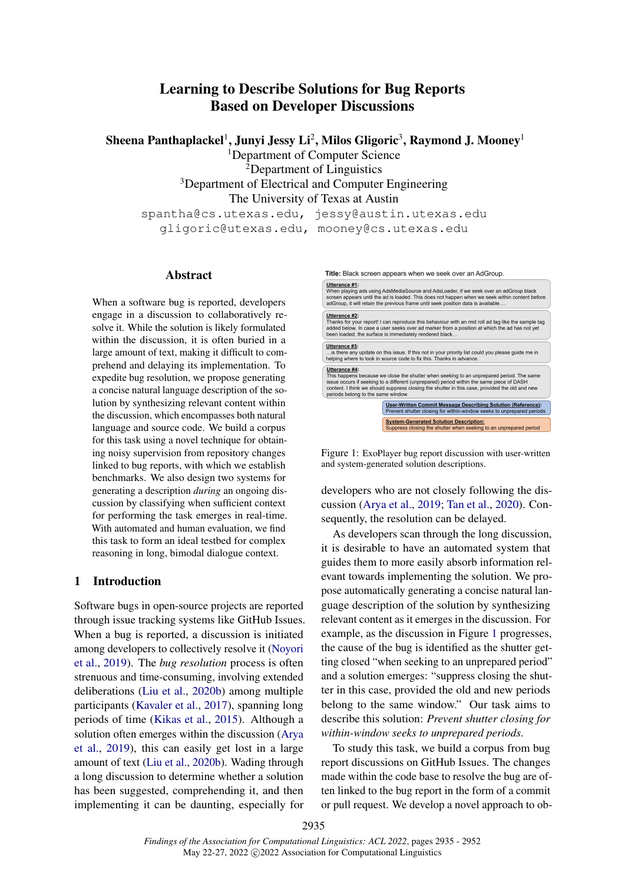# Learning to Describe Solutions for Bug Reports Based on Developer Discussions

Sheena Panthaplackel $^1$ , Junyi Jessy Li $^2$ , Milos Gligoric $^3$ , Raymond J. Mooney $^1$ 

<sup>1</sup>Department of Computer Science

<sup>2</sup>Department of Linguistics <sup>3</sup>Department of Electrical and Computer Engineering The University of Texas at Austin spantha@cs.utexas.edu, jessy@austin.utexas.edu

gligoric@utexas.edu, mooney@cs.utexas.edu

#### Abstract

When a software bug is reported, developers engage in a discussion to collaboratively resolve it. While the solution is likely formulated within the discussion, it is often buried in a large amount of text, making it difficult to comprehend and delaying its implementation. To expedite bug resolution, we propose generating a concise natural language description of the solution by synthesizing relevant content within the discussion, which encompasses both natural language and source code. We build a corpus for this task using a novel technique for obtaining noisy supervision from repository changes linked to bug reports, with which we establish benchmarks. We also design two systems for generating a description *during* an ongoing discussion by classifying when sufficient context for performing the task emerges in real-time. With automated and human evaluation, we find this task to form an ideal testbed for complex reasoning in long, bimodal dialogue context.

## 1 Introduction

Software bugs in open-source projects are reported through issue tracking systems like GitHub Issues. When a bug is reported, a discussion is initiated among developers to collectively resolve it [\(Noyori](#page-10-0) [et al.,](#page-10-0) [2019\)](#page-10-0). The *bug resolution* process is often strenuous and time-consuming, involving extended deliberations [\(Liu et al.,](#page-10-1) [2020b\)](#page-10-1) among multiple participants [\(Kavaler et al.,](#page-9-0) [2017\)](#page-9-0), spanning long periods of time [\(Kikas et al.,](#page-10-2) [2015\)](#page-10-2). Although a solution often emerges within the discussion [\(Arya](#page-9-1) [et al.,](#page-9-1) [2019\)](#page-9-1), this can easily get lost in a large amount of text [\(Liu et al.,](#page-10-1) [2020b\)](#page-10-1). Wading through a long discussion to determine whether a solution has been suggested, comprehending it, and then implementing it can be daunting, especially for

<span id="page-0-0"></span>

Figure 1: ExoPlayer bug report discussion with user-written and system-generated solution descriptions.

developers who are not closely following the discussion [\(Arya et al.,](#page-9-1) [2019;](#page-9-1) [Tan et al.,](#page-10-3) [2020\)](#page-10-3). Consequently, the resolution can be delayed.

As developers scan through the long discussion, it is desirable to have an automated system that guides them to more easily absorb information relevant towards implementing the solution. We propose automatically generating a concise natural language description of the solution by synthesizing relevant content as it emerges in the discussion. For example, as the discussion in Figure [1](#page-0-0) progresses, the cause of the bug is identified as the shutter getting closed "when seeking to an unprepared period" and a solution emerges: "suppress closing the shutter in this case, provided the old and new periods belong to the same window." Our task aims to describe this solution: *Prevent shutter closing for within-window seeks to unprepared periods*.

To study this task, we build a corpus from bug report discussions on GitHub Issues. The changes made within the code base to resolve the bug are often linked to the bug report in the form of a commit or pull request. We develop a novel approach to ob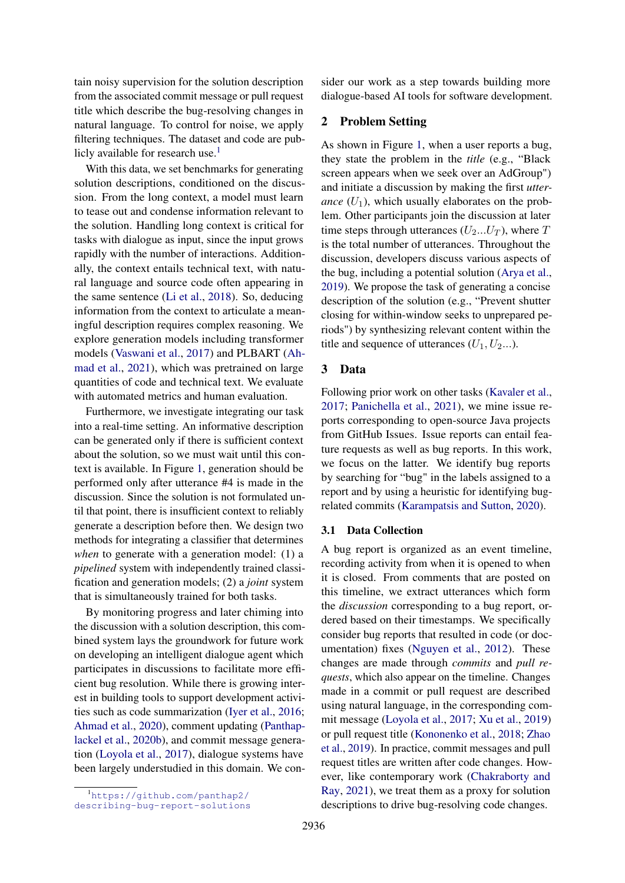tain noisy supervision for the solution description from the associated commit message or pull request title which describe the bug-resolving changes in natural language. To control for noise, we apply filtering techniques. The dataset and code are pub-licly available for research use.<sup>[1](#page-1-0)</sup>

With this data, we set benchmarks for generating solution descriptions, conditioned on the discussion. From the long context, a model must learn to tease out and condense information relevant to the solution. Handling long context is critical for tasks with dialogue as input, since the input grows rapidly with the number of interactions. Additionally, the context entails technical text, with natural language and source code often appearing in the same sentence [\(Li et al.,](#page-10-4) [2018\)](#page-10-4). So, deducing information from the context to articulate a meaningful description requires complex reasoning. We explore generation models including transformer models [\(Vaswani et al.,](#page-10-5) [2017\)](#page-10-5) and PLBART [\(Ah](#page-9-2)[mad et al.,](#page-9-2) [2021\)](#page-9-2), which was pretrained on large quantities of code and technical text. We evaluate with automated metrics and human evaluation.

Furthermore, we investigate integrating our task into a real-time setting. An informative description can be generated only if there is sufficient context about the solution, so we must wait until this context is available. In Figure [1,](#page-0-0) generation should be performed only after utterance #4 is made in the discussion. Since the solution is not formulated until that point, there is insufficient context to reliably generate a description before then. We design two methods for integrating a classifier that determines *when* to generate with a generation model: (1) a *pipelined* system with independently trained classification and generation models; (2) a *joint* system that is simultaneously trained for both tasks.

By monitoring progress and later chiming into the discussion with a solution description, this combined system lays the groundwork for future work on developing an intelligent dialogue agent which participates in discussions to facilitate more efficient bug resolution. While there is growing interest in building tools to support development activities such as code summarization [\(Iyer et al.,](#page-9-3) [2016;](#page-9-3) [Ahmad et al.,](#page-9-4) [2020\)](#page-9-4), comment updating [\(Panthap](#page-10-6)[lackel et al.,](#page-10-6) [2020b\)](#page-10-6), and commit message generation [\(Loyola et al.,](#page-10-7) [2017\)](#page-10-7), dialogue systems have been largely understudied in this domain. We consider our work as a step towards building more dialogue-based AI tools for software development.

## 2 Problem Setting

As shown in Figure [1,](#page-0-0) when a user reports a bug, they state the problem in the *title* (e.g., "Black screen appears when we seek over an AdGroup") and initiate a discussion by making the first *utterance*  $(U_1)$ , which usually elaborates on the problem. Other participants join the discussion at later time steps through utterances  $(U_2...U_T)$ , where T is the total number of utterances. Throughout the discussion, developers discuss various aspects of the bug, including a potential solution [\(Arya et al.,](#page-9-1) [2019\)](#page-9-1). We propose the task of generating a concise description of the solution (e.g., "Prevent shutter closing for within-window seeks to unprepared periods") by synthesizing relevant content within the title and sequence of utterances  $(U_1, U_2...)$ .

#### 3 Data

Following prior work on other tasks [\(Kavaler et al.,](#page-9-0) [2017;](#page-9-0) [Panichella et al.,](#page-10-8) [2021\)](#page-10-8), we mine issue reports corresponding to open-source Java projects from GitHub Issues. Issue reports can entail feature requests as well as bug reports. In this work, we focus on the latter. We identify bug reports by searching for "bug" in the labels assigned to a report and by using a heuristic for identifying bugrelated commits [\(Karampatsis and Sutton,](#page-9-5) [2020\)](#page-9-5).

#### <span id="page-1-1"></span>3.1 Data Collection

A bug report is organized as an event timeline, recording activity from when it is opened to when it is closed. From comments that are posted on this timeline, we extract utterances which form the *discussion* corresponding to a bug report, ordered based on their timestamps. We specifically consider bug reports that resulted in code (or documentation) fixes [\(Nguyen et al.,](#page-10-9) [2012\)](#page-10-9). These changes are made through *commits* and *pull requests*, which also appear on the timeline. Changes made in a commit or pull request are described using natural language, in the corresponding commit message [\(Loyola et al.,](#page-10-7) [2017;](#page-10-7) [Xu et al.,](#page-11-0) [2019\)](#page-11-0) or pull request title [\(Kononenko et al.,](#page-10-10) [2018;](#page-10-10) [Zhao](#page-11-1) [et al.,](#page-11-1) [2019\)](#page-11-1). In practice, commit messages and pull request titles are written after code changes. However, like contemporary work [\(Chakraborty and](#page-9-6) [Ray,](#page-9-6) [2021\)](#page-9-6), we treat them as a proxy for solution descriptions to drive bug-resolving code changes.

<span id="page-1-0"></span><sup>1</sup>[https://github.com/panthap2/](https://github.com/panthap2/describing-bug-report-solutions)

[describing-bug-report-solutions](https://github.com/panthap2/describing-bug-report-solutions)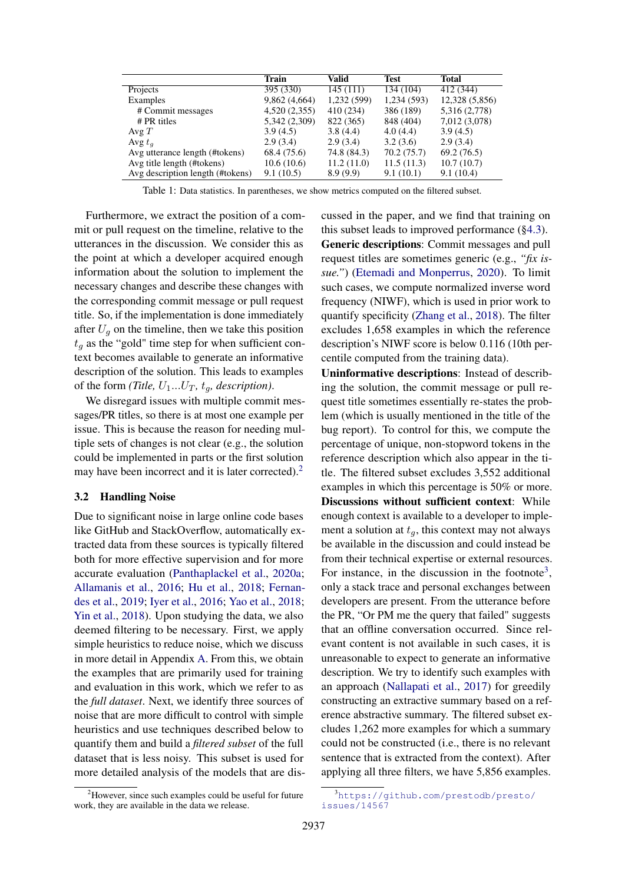<span id="page-2-2"></span>

|                                  | <b>Train</b>  | Valid       | <b>Test</b> | <b>Total</b>   |
|----------------------------------|---------------|-------------|-------------|----------------|
| Projects                         | 395 (330)     | 145(111)    | 134 (104)   | 412 (344)      |
| Examples                         | 9,862(4,664)  | 1,232 (599) | 1,234 (593) | 12,328 (5,856) |
| # Commit messages                | 4,520(2,355)  | 410 (234)   | 386 (189)   | 5,316 (2,778)  |
| $# PR$ titles                    | 5,342 (2,309) | 822 (365)   | 848 (404)   | 7,012 (3,078)  |
| Avg $T$                          | 3.9(4.5)      | 3.8(4.4)    | 4.0(4.4)    | 3.9(4.5)       |
| Avg $t_a$                        | 2.9(3.4)      | 2.9(3.4)    | 3.2(3.6)    | 2.9(3.4)       |
| Avg utterance length (#tokens)   | 68.4 (75.6)   | 74.8 (84.3) | 70.2 (75.7) | 69.2(76.5)     |
| Avg title length (#tokens)       | 10.6(10.6)    | 11.2(11.0)  | 11.5(11.3)  | 10.7(10.7)     |
| Avg description length (#tokens) | 9.1(10.5)     | 8.9(9.9)    | 9.1(10.1)   | 9.1(10.4)      |

Table 1: Data statistics. In parentheses, we show metrics computed on the filtered subset.

Furthermore, we extract the position of a commit or pull request on the timeline, relative to the utterances in the discussion. We consider this as the point at which a developer acquired enough information about the solution to implement the necessary changes and describe these changes with the corresponding commit message or pull request title. So, if the implementation is done immediately after  $U_q$  on the timeline, then we take this position  $t_a$  as the "gold" time step for when sufficient context becomes available to generate an informative description of the solution. This leads to examples of the form *(Title,*  $U_1...U_T$ *,*  $t_q$ *, description)*.

We disregard issues with multiple commit messages/PR titles, so there is at most one example per issue. This is because the reason for needing multiple sets of changes is not clear (e.g., the solution could be implemented in parts or the first solution may have been incorrect and it is later corrected).<sup>[2](#page-2-0)</sup>

#### <span id="page-2-3"></span>3.2 Handling Noise

Due to significant noise in large online code bases like GitHub and StackOverflow, automatically extracted data from these sources is typically filtered both for more effective supervision and for more accurate evaluation [\(Panthaplackel et al.,](#page-10-11) [2020a;](#page-10-11) [Allamanis et al.,](#page-9-7) [2016;](#page-9-7) [Hu et al.,](#page-9-8) [2018;](#page-9-8) [Fernan](#page-9-9)[des et al.,](#page-9-9) [2019;](#page-9-9) [Iyer et al.,](#page-9-3) [2016;](#page-9-3) [Yao et al.,](#page-11-2) [2018;](#page-11-2) [Yin et al.,](#page-11-3) [2018\)](#page-11-3). Upon studying the data, we also deemed filtering to be necessary. First, we apply simple heuristics to reduce noise, which we discuss in more detail in Appendix [A.](#page-12-0) From this, we obtain the examples that are primarily used for training and evaluation in this work, which we refer to as the *full dataset*. Next, we identify three sources of noise that are more difficult to control with simple heuristics and use techniques described below to quantify them and build a *filtered subset* of the full dataset that is less noisy. This subset is used for more detailed analysis of the models that are discussed in the paper, and we find that training on this subset leads to improved performance ([§4.3\)](#page-4-0). Generic descriptions: Commit messages and pull request titles are sometimes generic (e.g., *"fix issue."*) [\(Etemadi and Monperrus,](#page-9-10) [2020\)](#page-9-10). To limit such cases, we compute normalized inverse word frequency (NIWF), which is used in prior work to quantify specificity [\(Zhang et al.,](#page-11-4) [2018\)](#page-11-4). The filter excludes 1,658 examples in which the reference description's NIWF score is below 0.116 (10th percentile computed from the training data).

Uninformative descriptions: Instead of describing the solution, the commit message or pull request title sometimes essentially re-states the problem (which is usually mentioned in the title of the bug report). To control for this, we compute the percentage of unique, non-stopword tokens in the reference description which also appear in the title. The filtered subset excludes 3,552 additional examples in which this percentage is 50% or more. Discussions without sufficient context: While enough context is available to a developer to implement a solution at  $t_q$ , this context may not always be available in the discussion and could instead be from their technical expertise or external resources. For instance, in the discussion in the footnote<sup>[3](#page-2-1)</sup>, only a stack trace and personal exchanges between developers are present. From the utterance before the PR, "Or PM me the query that failed" suggests that an offline conversation occurred. Since relevant content is not available in such cases, it is unreasonable to expect to generate an informative description. We try to identify such examples with an approach [\(Nallapati et al.,](#page-10-12) [2017\)](#page-10-12) for greedily constructing an extractive summary based on a reference abstractive summary. The filtered subset excludes 1,262 more examples for which a summary could not be constructed (i.e., there is no relevant sentence that is extracted from the context). After applying all three filters, we have 5,856 examples.

<span id="page-2-0"></span><sup>&</sup>lt;sup>2</sup>However, since such examples could be useful for future work, they are available in the data we release.

<span id="page-2-1"></span><sup>3</sup>[https://github.com/prestodb/presto/](https://github.com/prestodb/presto/issues/14567) [issues/14567](https://github.com/prestodb/presto/issues/14567)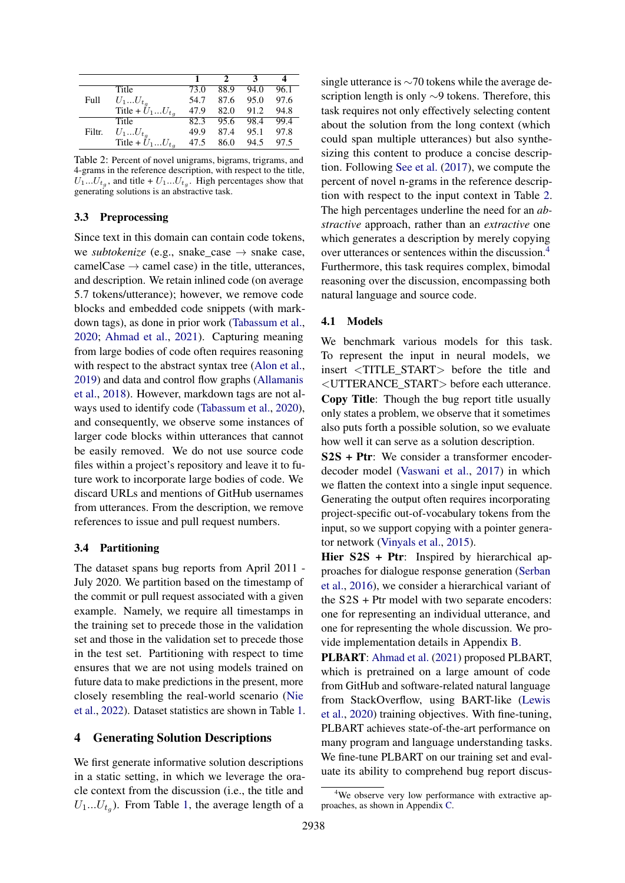<span id="page-3-0"></span>

|        |                              |      |      | З    |      |
|--------|------------------------------|------|------|------|------|
|        | Title                        | 73.0 | 88.9 | 94.0 | 96.1 |
| Full   | $U_1U_{t_q}$                 | 54.7 | 87.6 | 95.0 | 97.6 |
|        | Title + $U_1U_{t_q}$         | 47.9 | 82.0 | 91.2 | 94.8 |
|        | Title                        | 82.3 | 95.6 | 98.4 | 99.4 |
| Filtr. | $U_1U_{t_q}$                 | 49.9 | 87.4 | 95.1 | 97.8 |
|        | Title + $\tilde{U}_1U_{t_q}$ | 47.5 | 86.0 | 94.5 | 97.5 |

Table 2: Percent of novel unigrams, bigrams, trigrams, and 4-grams in the reference description, with respect to the title,  $U_1...U_{t_g}$ , and title +  $U_1...U_{t_g}$ . High percentages show that generating solutions is an abstractive task.

### 3.3 Preprocessing

Since text in this domain can contain code tokens, we *subtokenize* (e.g., snake\_case  $\rightarrow$  snake case, camelCase  $\rightarrow$  camel case) in the title, utterances, and description. We retain inlined code (on average 5.7 tokens/utterance); however, we remove code blocks and embedded code snippets (with markdown tags), as done in prior work [\(Tabassum et al.,](#page-10-13) [2020;](#page-10-13) [Ahmad et al.,](#page-9-2) [2021\)](#page-9-2). Capturing meaning from large bodies of code often requires reasoning with respect to the abstract syntax tree [\(Alon et al.,](#page-9-11) [2019\)](#page-9-11) and data and control flow graphs [\(Allamanis](#page-9-12) [et al.,](#page-9-12) [2018\)](#page-9-12). However, markdown tags are not always used to identify code [\(Tabassum et al.,](#page-10-13) [2020\)](#page-10-13), and consequently, we observe some instances of larger code blocks within utterances that cannot be easily removed. We do not use source code files within a project's repository and leave it to future work to incorporate large bodies of code. We discard URLs and mentions of GitHub usernames from utterances. From the description, we remove references to issue and pull request numbers.

#### 3.4 Partitioning

The dataset spans bug reports from April 2011 - July 2020. We partition based on the timestamp of the commit or pull request associated with a given example. Namely, we require all timestamps in the training set to precede those in the validation set and those in the validation set to precede those in the test set. Partitioning with respect to time ensures that we are not using models trained on future data to make predictions in the present, more closely resembling the real-world scenario [\(Nie](#page-10-14) [et al.,](#page-10-14) [2022\)](#page-10-14). Dataset statistics are shown in Table [1.](#page-2-2)

# 4 Generating Solution Descriptions

We first generate informative solution descriptions in a static setting, in which we leverage the oracle context from the discussion (i.e., the title and  $U_1...U_{t_g}$ ). From Table [1,](#page-2-2) the average length of a

single utterance is ∼70 tokens while the average description length is only ∼9 tokens. Therefore, this task requires not only effectively selecting content about the solution from the long context (which could span multiple utterances) but also synthesizing this content to produce a concise description. Following [See et al.](#page-10-15) [\(2017\)](#page-10-15), we compute the percent of novel n-grams in the reference description with respect to the input context in Table [2.](#page-3-0) The high percentages underline the need for an *abstractive* approach, rather than an *extractive* one which generates a description by merely copying over utterances or sentences within the discussion.[4](#page-3-1) Furthermore, this task requires complex, bimodal reasoning over the discussion, encompassing both natural language and source code.

#### <span id="page-3-2"></span>4.1 Models

We benchmark various models for this task. To represent the input in neural models, we insert <TITLE\_START> before the title and <UTTERANCE\_START> before each utterance. Copy Title: Though the bug report title usually only states a problem, we observe that it sometimes also puts forth a possible solution, so we evaluate how well it can serve as a solution description.

S2S + Ptr: We consider a transformer encoderdecoder model [\(Vaswani et al.,](#page-10-5) [2017\)](#page-10-5) in which we flatten the context into a single input sequence. Generating the output often requires incorporating project-specific out-of-vocabulary tokens from the input, so we support copying with a pointer generator network [\(Vinyals et al.,](#page-10-16) [2015\)](#page-10-16).

Hier S2S + Ptr: Inspired by hierarchical approaches for dialogue response generation [\(Serban](#page-10-17) [et al.,](#page-10-17) [2016\)](#page-10-17), we consider a hierarchical variant of the S2S + Ptr model with two separate encoders: one for representing an individual utterance, and one for representing the whole discussion. We provide implementation details in Appendix [B.](#page-12-1)

PLBART: [Ahmad et al.](#page-9-2) [\(2021\)](#page-9-2) proposed PLBART, which is pretrained on a large amount of code from GitHub and software-related natural language from StackOverflow, using BART-like [\(Lewis](#page-10-18) [et al.,](#page-10-18) [2020\)](#page-10-18) training objectives. With fine-tuning, PLBART achieves state-of-the-art performance on many program and language understanding tasks. We fine-tune PLBART on our training set and evaluate its ability to comprehend bug report discus-

<span id="page-3-1"></span><sup>&</sup>lt;sup>4</sup>We observe very low performance with extractive approaches, as shown in Appendix [C.](#page-12-2)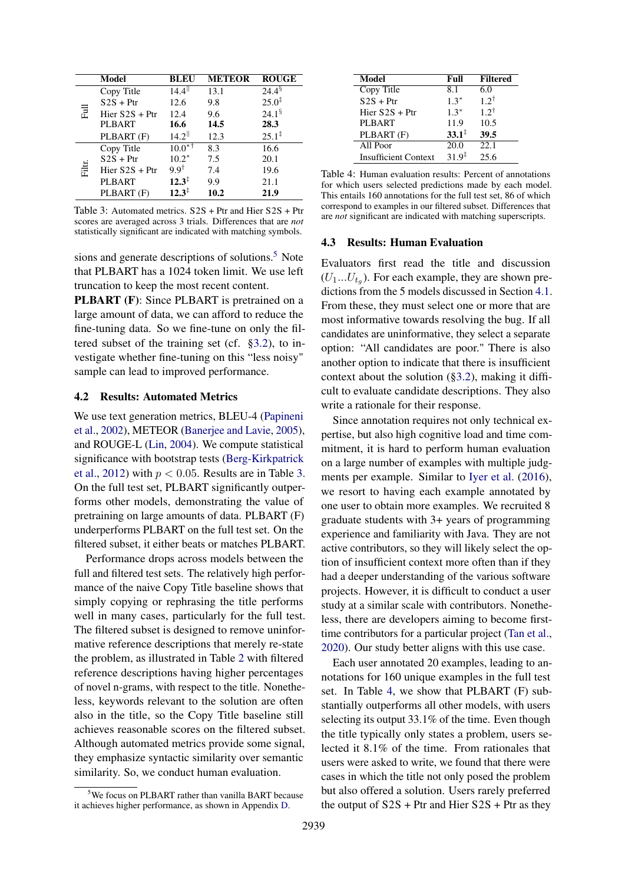<span id="page-4-2"></span>

|        | Model            | BLEU                 | <b>METEOR</b> | <b>ROUGE</b>         |
|--------|------------------|----------------------|---------------|----------------------|
|        | Copy Title       | $14.4$ <sup>  </sup> | 13.1          | $24.4^{\frac{5}{}}$  |
|        | $S2S + Ptr$      | 12.6                 | 9.8           | $25.0^{\ddagger}$    |
| 큹      | Hier $S2S + Ptr$ | 12.4                 | 9.6           | $24.1^{\frac{6}{5}}$ |
|        | <b>PLBART</b>    | 16.6                 | 14.5          | 28.3                 |
|        | PLBART (F)       | $14.2$ <sup>  </sup> | 12.3          | $25.1^{\ddagger}$    |
|        | Copy Title       | $10.0^{*7}$          | 8.3           | 16.6                 |
|        | $S2S + Ptr$      | $10.2*$              | 7.5           | 20.1                 |
| Filtr. | Hier $S2S + Ptr$ | $9.9^{\dagger}$      | 7.4           | 19.6                 |
|        | <b>PLBART</b>    | $12.3^{\ddagger}$    | 9.9           | 21.1                 |
|        | PLBART (F)       | $12.3^{\ddagger}$    | 10.2          | 21.9                 |

Table 3: Automated metrics. S2S + Ptr and Hier S2S + Ptr scores are averaged across 3 trials. Differences that are *not* statistically significant are indicated with matching symbols.

sions and generate descriptions of solutions.<sup>[5](#page-4-1)</sup> Note that PLBART has a 1024 token limit. We use left truncation to keep the most recent content.

**PLBART** (F): Since PLBART is pretrained on a large amount of data, we can afford to reduce the fine-tuning data. So we fine-tune on only the filtered subset of the training set (cf. [§3.2\)](#page-2-3), to investigate whether fine-tuning on this "less noisy" sample can lead to improved performance.

## <span id="page-4-4"></span>4.2 Results: Automated Metrics

We use text generation metrics, BLEU-4 [\(Papineni](#page-10-19) [et al.,](#page-10-19) [2002\)](#page-10-19), METEOR [\(Banerjee and Lavie,](#page-9-13) [2005\)](#page-9-13), and ROUGE-L [\(Lin,](#page-10-20) [2004\)](#page-10-20). We compute statistical significance with bootstrap tests [\(Berg-Kirkpatrick](#page-9-14) [et al.,](#page-9-14) [2012\)](#page-9-14) with  $p < 0.05$ . Results are in Table [3.](#page-4-2) On the full test set, PLBART significantly outperforms other models, demonstrating the value of pretraining on large amounts of data. PLBART (F) underperforms PLBART on the full test set. On the filtered subset, it either beats or matches PLBART.

Performance drops across models between the full and filtered test sets. The relatively high performance of the naive Copy Title baseline shows that simply copying or rephrasing the title performs well in many cases, particularly for the full test. The filtered subset is designed to remove uninformative reference descriptions that merely re-state the problem, as illustrated in Table [2](#page-3-0) with filtered reference descriptions having higher percentages of novel n-grams, with respect to the title. Nonetheless, keywords relevant to the solution are often also in the title, so the Copy Title baseline still achieves reasonable scores on the filtered subset. Although automated metrics provide some signal, they emphasize syntactic similarity over semantic similarity. So, we conduct human evaluation.

<span id="page-4-3"></span>

| <b>Model</b>                | Full              | <b>Filtered</b> |
|-----------------------------|-------------------|-----------------|
| <b>Copy Title</b>           | 8.1               | 6.0             |
| $S2S + Ptr$                 | $1.3*$            | $1.2^{\dagger}$ |
| Hier $S2S + Ptr$            | $1.3*$            | $1.2^{\dagger}$ |
| <b>PLBART</b>               | 11.9              | 10.5            |
| PLBART (F)                  | $33.1^{\ddagger}$ | 39.5            |
| All Poor                    | 20.0              | 22.1            |
| <b>Insufficient Context</b> | $31.9^{\ddagger}$ | 25.6            |

Table 4: Human evaluation results: Percent of annotations for which users selected predictions made by each model. This entails 160 annotations for the full test set, 86 of which correspond to examples in our filtered subset. Differences that are *not* significant are indicated with matching superscripts.

#### <span id="page-4-0"></span>4.3 Results: Human Evaluation

Evaluators first read the title and discussion  $(U_1...U_{t_g})$ . For each example, they are shown predictions from the 5 models discussed in Section [4.1.](#page-3-2) From these, they must select one or more that are most informative towards resolving the bug. If all candidates are uninformative, they select a separate option: "All candidates are poor." There is also another option to indicate that there is insufficient context about the solution ([§3.2\)](#page-2-3), making it difficult to evaluate candidate descriptions. They also write a rationale for their response.

Since annotation requires not only technical expertise, but also high cognitive load and time commitment, it is hard to perform human evaluation on a large number of examples with multiple judgments per example. Similar to [Iyer et al.](#page-9-3) [\(2016\)](#page-9-3), we resort to having each example annotated by one user to obtain more examples. We recruited 8 graduate students with 3+ years of programming experience and familiarity with Java. They are not active contributors, so they will likely select the option of insufficient context more often than if they had a deeper understanding of the various software projects. However, it is difficult to conduct a user study at a similar scale with contributors. Nonetheless, there are developers aiming to become firsttime contributors for a particular project [\(Tan et al.,](#page-10-3) [2020\)](#page-10-3). Our study better aligns with this use case.

Each user annotated 20 examples, leading to annotations for 160 unique examples in the full test set. In Table [4,](#page-4-3) we show that PLBART (F) substantially outperforms all other models, with users selecting its output 33.1% of the time. Even though the title typically only states a problem, users selected it 8.1% of the time. From rationales that users were asked to write, we found that there were cases in which the title not only posed the problem but also offered a solution. Users rarely preferred the output of  $S2S$  + Ptr and Hier  $S2S$  + Ptr as they

<span id="page-4-1"></span><sup>&</sup>lt;sup>5</sup>We focus on PLBART rather than vanilla BART because it achieves higher performance, as shown in Appendix [D.](#page-14-0)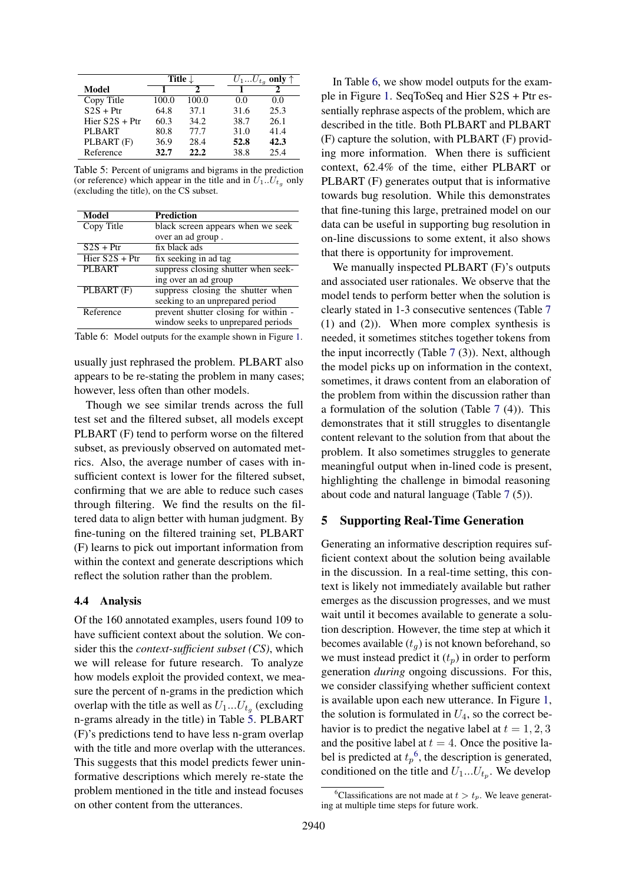<span id="page-5-0"></span>

|                  | Title $\downarrow$ |       |      | $U_1U_{t_q}$ only $\uparrow$ |
|------------------|--------------------|-------|------|------------------------------|
| Model            |                    |       |      |                              |
| Copy Title       | 100.0              | 100.0 | 0.0  | 0.0                          |
| $S2S + Ptr$      | 64.8               | 37.1  | 31.6 | 25.3                         |
| Hier $S2S + Ptr$ | 60.3               | 34.2  | 38.7 | 26.1                         |
| PLBART           | 80.8               | 77.7  | 31.0 | 41.4                         |
| PLBART (F)       | 36.9               | 28.4  | 52.8 | 42.3                         |
| Reference        | 32.7               | 22.2  | 38.8 | 25.4                         |

Table 5: Percent of unigrams and bigrams in the prediction (or reference) which appear in the title and in  $U_1...U_{t_q}$  only (excluding the title), on the CS subset.

<span id="page-5-1"></span>

| <b>Model</b>     | Prediction                           |
|------------------|--------------------------------------|
| Copy Title       | black screen appears when we seek    |
|                  | over an ad group.                    |
| $S2S + Ptr$      | $\overline{fix}$ black ads           |
| Hier $S2S + Ptr$ | fix seeking in ad tag                |
| <b>PLBART</b>    | suppress closing shutter when seek-  |
|                  | ing over an ad group                 |
| PLBART (F)       | suppress closing the shutter when    |
|                  | seeking to an unprepared period      |
| Reference        | prevent shutter closing for within - |
|                  | window seeks to unprepared periods   |

Table 6: Model outputs for the example shown in Figure [1.](#page-0-0)

usually just rephrased the problem. PLBART also appears to be re-stating the problem in many cases; however, less often than other models.

Though we see similar trends across the full test set and the filtered subset, all models except PLBART (F) tend to perform worse on the filtered subset, as previously observed on automated metrics. Also, the average number of cases with insufficient context is lower for the filtered subset, confirming that we are able to reduce such cases through filtering. We find the results on the filtered data to align better with human judgment. By fine-tuning on the filtered training set, PLBART (F) learns to pick out important information from within the context and generate descriptions which reflect the solution rather than the problem.

### <span id="page-5-3"></span>4.4 Analysis

Of the 160 annotated examples, users found 109 to have sufficient context about the solution. We consider this the *context-sufficient subset (CS)*, which we will release for future research. To analyze how models exploit the provided context, we measure the percent of n-grams in the prediction which overlap with the title as well as  $U_1...U_{t_g}$  (excluding n-grams already in the title) in Table [5.](#page-5-0) PLBART (F)'s predictions tend to have less n-gram overlap with the title and more overlap with the utterances. This suggests that this model predicts fewer uninformative descriptions which merely re-state the problem mentioned in the title and instead focuses on other content from the utterances.

In Table [6,](#page-5-1) we show model outputs for the example in Figure [1.](#page-0-0) SeqToSeq and Hier S2S + Ptr essentially rephrase aspects of the problem, which are described in the title. Both PLBART and PLBART (F) capture the solution, with PLBART (F) providing more information. When there is sufficient context, 62.4% of the time, either PLBART or PLBART (F) generates output that is informative towards bug resolution. While this demonstrates that fine-tuning this large, pretrained model on our data can be useful in supporting bug resolution in on-line discussions to some extent, it also shows that there is opportunity for improvement.

We manually inspected PLBART (F)'s outputs and associated user rationales. We observe that the model tends to perform better when the solution is clearly stated in 1-3 consecutive sentences (Table [7](#page-6-0) (1) and (2)). When more complex synthesis is needed, it sometimes stitches together tokens from the input incorrectly (Table [7](#page-6-0) (3)). Next, although the model picks up on information in the context, sometimes, it draws content from an elaboration of the problem from within the discussion rather than a formulation of the solution (Table [7](#page-6-0) (4)). This demonstrates that it still struggles to disentangle content relevant to the solution from that about the problem. It also sometimes struggles to generate meaningful output when in-lined code is present, highlighting the challenge in bimodal reasoning about code and natural language (Table [7](#page-6-0) (5)).

### 5 Supporting Real-Time Generation

Generating an informative description requires sufficient context about the solution being available in the discussion. In a real-time setting, this context is likely not immediately available but rather emerges as the discussion progresses, and we must wait until it becomes available to generate a solution description. However, the time step at which it becomes available  $(t_q)$  is not known beforehand, so we must instead predict it  $(t_p)$  in order to perform generation *during* ongoing discussions. For this, we consider classifying whether sufficient context is available upon each new utterance. In Figure [1,](#page-0-0) the solution is formulated in  $U_4$ , so the correct behavior is to predict the negative label at  $t = 1, 2, 3$ and the positive label at  $t = 4$ . Once the positive label is predicted at  $t_p$ <sup>[6](#page-5-2)</sup>, the description is generated, conditioned on the title and  $U_1...U_{t_p}$ . We develop

<span id="page-5-2"></span><sup>&</sup>lt;sup>6</sup>Classifications are not made at  $t > t_p$ . We leave generating at multiple time steps for future work.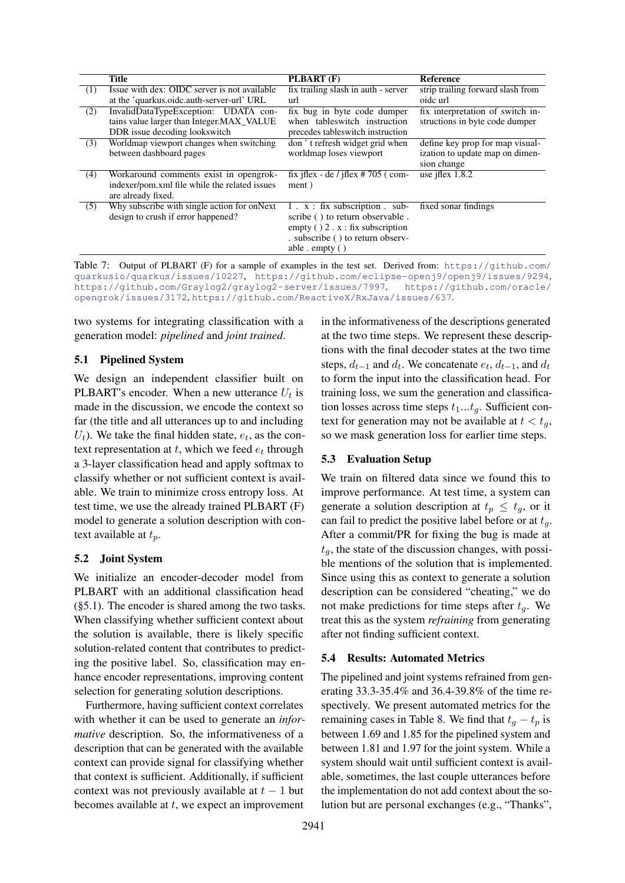<span id="page-6-0"></span>

|     | <b>Title</b>                                  | PLBART (F)                               | <b>Reference</b>                  |
|-----|-----------------------------------------------|------------------------------------------|-----------------------------------|
| (1) | Issue with dex: OIDC server is not available  | fix trailing slash in auth - server      | strip trailing forward slash from |
|     | at the 'quarkus.oidc.auth-server-url' URL     | url                                      | oide url                          |
| (2) | InvalidDataTypeException: UDATA con-          | fix bug in byte code dumper              | fix interpretation of switch in-  |
|     | tains value larger than Integer.MAX_VALUE     | when tables witch instruction            | structions in byte code dumper    |
|     | DDR issue decoding lookswitch                 | precedes tables witch instruction        |                                   |
| (3) | Worldmap viewport changes when switching      | don't refresh widget grid when           | define key prop for map visual-   |
|     | between dashboard pages                       | worldmap loses viewport                  | ization to update map on dimen-   |
|     |                                               |                                          | sion change                       |
| (4) | Workaround comments exist in opengrok-        | fix if $ex - de$ / if $ex \ne 705$ (com- | use jflex $1.8.2$                 |
|     | indexer/pom.xml file while the related issues | ment)                                    |                                   |
|     | are already fixed.                            |                                          |                                   |
| (5) | Why subscribe with single action for onNext   | $1 \cdot x$ : fix subscription . sub-    | fixed sonar findings              |
|     | design to crush if error happened?            | scribe () to return observable.          |                                   |
|     |                                               | empty $( ) 2 \cdot x : fix$ subscription |                                   |
|     |                                               | . subscribe () to return observ-         |                                   |
|     |                                               | able $\epsilon$ empty ()                 |                                   |

Table 7: Output of PLBART (F) for a sample of examples in the test set. Derived from: [https://github.com/](https://github.com/quarkusio/quarkus/issues/10227) [quarkusio/quarkus/issues/10227](https://github.com/quarkusio/quarkus/issues/10227), <https://github.com/eclipse-openj9/openj9/issues/9294>, <https://github.com/Graylog2/graylog2-server/issues/7997>, [https://github.com/oracle/](https://github.com/oracle/opengrok/issues/3172) [opengrok/issues/3172](https://github.com/oracle/opengrok/issues/3172), <https://github.com/ReactiveX/RxJava/issues/637>.

two systems for integrating classification with a generation model: *pipelined* and *joint trained*.

#### <span id="page-6-1"></span>5.1 Pipelined System

We design an independent classifier built on PLBART's encoder. When a new utterance  $U_t$  is made in the discussion, we encode the context so far (the title and all utterances up to and including  $U_t$ ). We take the final hidden state,  $e_t$ , as the context representation at  $t$ , which we feed  $e_t$  through a 3-layer classification head and apply softmax to classify whether or not sufficient context is available. We train to minimize cross entropy loss. At test time, we use the already trained PLBART (F) model to generate a solution description with context available at  $t_p$ .

#### 5.2 Joint System

We initialize an encoder-decoder model from PLBART with an additional classification head ([§5.1\)](#page-6-1). The encoder is shared among the two tasks. When classifying whether sufficient context about the solution is available, there is likely specific solution-related content that contributes to predicting the positive label. So, classification may enhance encoder representations, improving content selection for generating solution descriptions.

Furthermore, having sufficient context correlates with whether it can be used to generate an *informative* description. So, the informativeness of a description that can be generated with the available context can provide signal for classifying whether that context is sufficient. Additionally, if sufficient context was not previously available at  $t - 1$  but becomes available at  $t$ , we expect an improvement

in the informativeness of the descriptions generated at the two time steps. We represent these descriptions with the final decoder states at the two time steps,  $d_{t-1}$  and  $d_t$ . We concatenate  $e_t$ ,  $d_{t-1}$ , and  $d_t$ to form the input into the classification head. For training loss, we sum the generation and classification losses across time steps  $t_1...t_q$ . Sufficient context for generation may not be available at  $t < t_q$ , so we mask generation loss for earlier time steps.

## 5.3 Evaluation Setup

We train on filtered data since we found this to improve performance. At test time, a system can generate a solution description at  $t_p \n\t\leq t_q$ , or it can fail to predict the positive label before or at  $t_q$ . After a commit/PR for fixing the bug is made at  $t_q$ , the state of the discussion changes, with possible mentions of the solution that is implemented. Since using this as context to generate a solution description can be considered "cheating," we do not make predictions for time steps after  $t<sub>q</sub>$ . We treat this as the system *refraining* from generating after not finding sufficient context.

### 5.4 Results: Automated Metrics

The pipelined and joint systems refrained from generating 33.3-35.4% and 36.4-39.8% of the time respectively. We present automated metrics for the remaining cases in Table [8.](#page-7-0) We find that  $t_q - t_p$  is between 1.69 and 1.85 for the pipelined system and between 1.81 and 1.97 for the joint system. While a system should wait until sufficient context is available, sometimes, the last couple utterances before the implementation do not add context about the solution but are personal exchanges (e.g., "Thanks",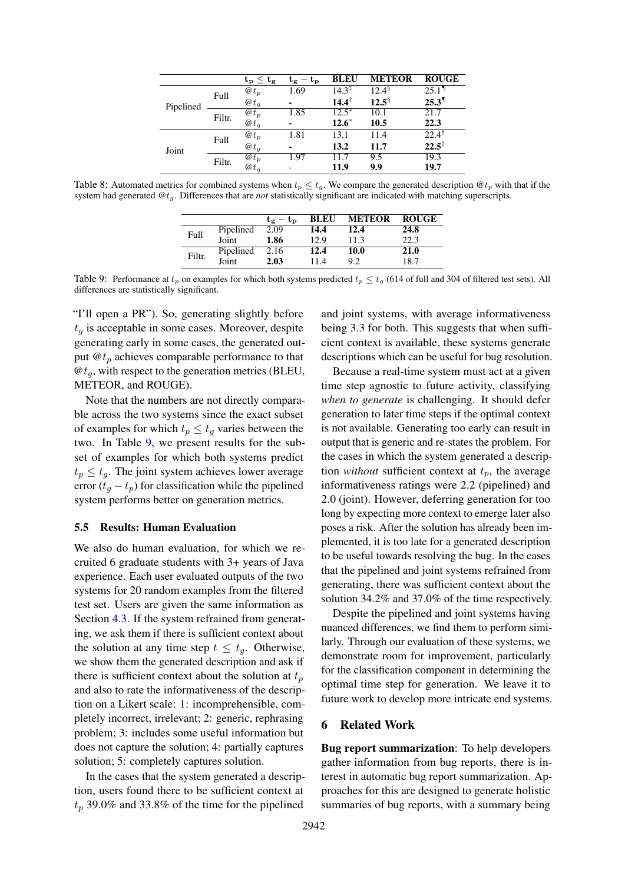<span id="page-7-0"></span>

|           |        | $\mathbf{t_{p}} \leq \mathbf{t_{g}}$ | $-\mathbf{t}_{\mathbf{p}}$<br>τg | <b>BLEU</b>       | <b>METEOR</b>        | <b>ROUGE</b>        |
|-----------|--------|--------------------------------------|----------------------------------|-------------------|----------------------|---------------------|
| Pipelined | Full   | $\omega t_p$                         | 1.69                             | $14.3^{\ddagger}$ | $12.4^{\frac{5}{3}}$ | $25.1$ <sup>1</sup> |
|           |        | $\omega t_q$                         | ۰                                | $14.4^{\ddagger}$ | $12.5^{\S}$          | $25.3$ <sup>1</sup> |
|           | Filtr. | $\omega t_p$                         | 1.85                             | $12.5*$           | 10.1                 | 21.7                |
|           |        | $\omega t_q$                         | ۰                                | $12.6*$           | 10.5                 | 22.3                |
| Joint     | Full   | $\omega t_p$                         | 1.81                             | 13.1              | 11.4                 | $22.4$ <sup>1</sup> |
|           |        | $\omega t_a$                         | ۰                                | 13.2              | 11.7                 | $22.5^{\dagger}$    |
|           |        | $\overline{\omega t_p}$              | 1.97                             | 11.7              | 9.5                  | 19.3                |
|           | Filtr. | $\omega t_q$                         |                                  | 11.9              | 9.9                  | 19.7                |

<span id="page-7-1"></span>Table 8: Automated metrics for combined systems when  $t_p \le t_g$ . We compare the generated description  $\mathcal{Q}t_p$  with that if the system had generated @tg. Differences that are *not* statistically significant are indicated with matching superscripts.

|        |           | $t_e - t_p$ |      | <b>BLEU METEOR ROUGE</b> |      |
|--------|-----------|-------------|------|--------------------------|------|
|        | Pipelined | 2.09        | 14.4 | 12.4                     | 24.8 |
| Full   | Joint     | 1.86        | 12.9 | 11.3                     | 22.3 |
|        | Pipelined | 2.16        | 12.4 | <b>10.0</b>              | 21.0 |
| Filtr. | Joint     | 2.03        | 11.4 | 9.2.                     | 18.7 |

Table 9: Performance at  $t_p$  on examples for which both systems predicted  $t_p \le t_q$  (614 of full and 304 of filtered test sets). All differences are statistically significant.

"I'll open a PR"). So, generating slightly before  $t<sub>q</sub>$  is acceptable in some cases. Moreover, despite generating early in some cases, the generated output  $\mathbf{\Theta}t_p$  achieves comparable performance to that  $\mathcal{Q}t_q$ , with respect to the generation metrics (BLEU, METEOR, and ROUGE).

Note that the numbers are not directly comparable across the two systems since the exact subset of examples for which  $t_p \leq t_q$  varies between the two. In Table [9,](#page-7-1) we present results for the subset of examples for which both systems predict  $t_p \leq t_q$ . The joint system achieves lower average error  $(t<sub>g</sub> - t<sub>p</sub>)$  for classification while the pipelined system performs better on generation metrics.

## 5.5 Results: Human Evaluation

We also do human evaluation, for which we recruited 6 graduate students with 3+ years of Java experience. Each user evaluated outputs of the two systems for 20 random examples from the filtered test set. Users are given the same information as Section [4.3.](#page-4-0) If the system refrained from generating, we ask them if there is sufficient context about the solution at any time step  $t \leq t_a$ . Otherwise, we show them the generated description and ask if there is sufficient context about the solution at  $t_p$ and also to rate the informativeness of the description on a Likert scale: 1: incomprehensible, completely incorrect, irrelevant; 2: generic, rephrasing problem; 3: includes some useful information but does not capture the solution; 4: partially captures solution; 5: completely captures solution.

In the cases that the system generated a description, users found there to be sufficient context at  $t_p$  39.0% and 33.8% of the time for the pipelined

and joint systems, with average informativeness being 3.3 for both. This suggests that when sufficient context is available, these systems generate descriptions which can be useful for bug resolution.

Because a real-time system must act at a given time step agnostic to future activity, classifying *when to generate* is challenging. It should defer generation to later time steps if the optimal context is not available. Generating too early can result in output that is generic and re-states the problem. For the cases in which the system generated a description *without* sufficient context at  $t_p$ , the average informativeness ratings were 2.2 (pipelined) and 2.0 (joint). However, deferring generation for too long by expecting more context to emerge later also poses a risk. After the solution has already been implemented, it is too late for a generated description to be useful towards resolving the bug. In the cases that the pipelined and joint systems refrained from generating, there was sufficient context about the solution 34.2% and 37.0% of the time respectively.

Despite the pipelined and joint systems having nuanced differences, we find them to perform similarly. Through our evaluation of these systems, we demonstrate room for improvement, particularly for the classification component in determining the optimal time step for generation. We leave it to future work to develop more intricate end systems.

#### 6 Related Work

Bug report summarization: To help developers gather information from bug reports, there is interest in automatic bug report summarization. Approaches for this are designed to generate holistic summaries of bug reports, with a summary being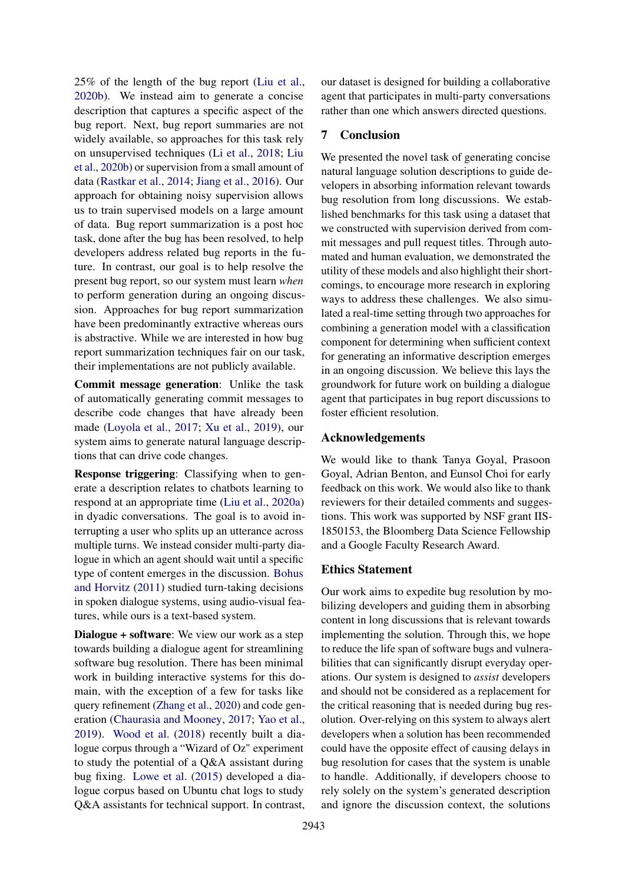25% of the length of the bug report [\(Liu et al.,](#page-10-1) [2020b\)](#page-10-1). We instead aim to generate a concise description that captures a specific aspect of the bug report. Next, bug report summaries are not widely available, so approaches for this task rely on unsupervised techniques [\(Li et al.,](#page-10-4) [2018;](#page-10-4) [Liu](#page-10-1) [et al.,](#page-10-1) [2020b\)](#page-10-1) or supervision from a small amount of data [\(Rastkar et al.,](#page-10-21) [2014;](#page-10-21) [Jiang et al.,](#page-9-15) [2016\)](#page-9-15). Our approach for obtaining noisy supervision allows us to train supervised models on a large amount of data. Bug report summarization is a post hoc task, done after the bug has been resolved, to help developers address related bug reports in the future. In contrast, our goal is to help resolve the present bug report, so our system must learn *when* to perform generation during an ongoing discussion. Approaches for bug report summarization have been predominantly extractive whereas ours is abstractive. While we are interested in how bug report summarization techniques fair on our task, their implementations are not publicly available.

Commit message generation: Unlike the task of automatically generating commit messages to describe code changes that have already been made [\(Loyola et al.,](#page-10-7) [2017;](#page-10-7) [Xu et al.,](#page-11-0) [2019\)](#page-11-0), our system aims to generate natural language descriptions that can drive code changes.

Response triggering: Classifying when to generate a description relates to chatbots learning to respond at an appropriate time [\(Liu et al.,](#page-10-22) [2020a\)](#page-10-22) in dyadic conversations. The goal is to avoid interrupting a user who splits up an utterance across multiple turns. We instead consider multi-party dialogue in which an agent should wait until a specific type of content emerges in the discussion. [Bohus](#page-9-16) [and Horvitz](#page-9-16) [\(2011\)](#page-9-16) studied turn-taking decisions in spoken dialogue systems, using audio-visual features, while ours is a text-based system.

Dialogue + software: We view our work as a step towards building a dialogue agent for streamlining software bug resolution. There has been minimal work in building interactive systems for this domain, with the exception of a few for tasks like query refinement [\(Zhang et al.,](#page-11-5) [2020\)](#page-11-5) and code generation [\(Chaurasia and Mooney,](#page-9-17) [2017;](#page-9-17) [Yao et al.,](#page-11-6) [2019\)](#page-11-6). [Wood et al.](#page-11-7) [\(2018\)](#page-11-7) recently built a dialogue corpus through a "Wizard of Oz" experiment to study the potential of a Q&A assistant during bug fixing. [Lowe et al.](#page-10-23) [\(2015\)](#page-10-23) developed a dialogue corpus based on Ubuntu chat logs to study Q&A assistants for technical support. In contrast, our dataset is designed for building a collaborative agent that participates in multi-party conversations rather than one which answers directed questions.

## 7 Conclusion

We presented the novel task of generating concise natural language solution descriptions to guide developers in absorbing information relevant towards bug resolution from long discussions. We established benchmarks for this task using a dataset that we constructed with supervision derived from commit messages and pull request titles. Through automated and human evaluation, we demonstrated the utility of these models and also highlight their shortcomings, to encourage more research in exploring ways to address these challenges. We also simulated a real-time setting through two approaches for combining a generation model with a classification component for determining when sufficient context for generating an informative description emerges in an ongoing discussion. We believe this lays the groundwork for future work on building a dialogue agent that participates in bug report discussions to foster efficient resolution.

### Acknowledgements

We would like to thank Tanya Goyal, Prasoon Goyal, Adrian Benton, and Eunsol Choi for early feedback on this work. We would also like to thank reviewers for their detailed comments and suggestions. This work was supported by NSF grant IIS-1850153, the Bloomberg Data Science Fellowship and a Google Faculty Research Award.

### Ethics Statement

Our work aims to expedite bug resolution by mobilizing developers and guiding them in absorbing content in long discussions that is relevant towards implementing the solution. Through this, we hope to reduce the life span of software bugs and vulnerabilities that can significantly disrupt everyday operations. Our system is designed to *assist* developers and should not be considered as a replacement for the critical reasoning that is needed during bug resolution. Over-relying on this system to always alert developers when a solution has been recommended could have the opposite effect of causing delays in bug resolution for cases that the system is unable to handle. Additionally, if developers choose to rely solely on the system's generated description and ignore the discussion context, the solutions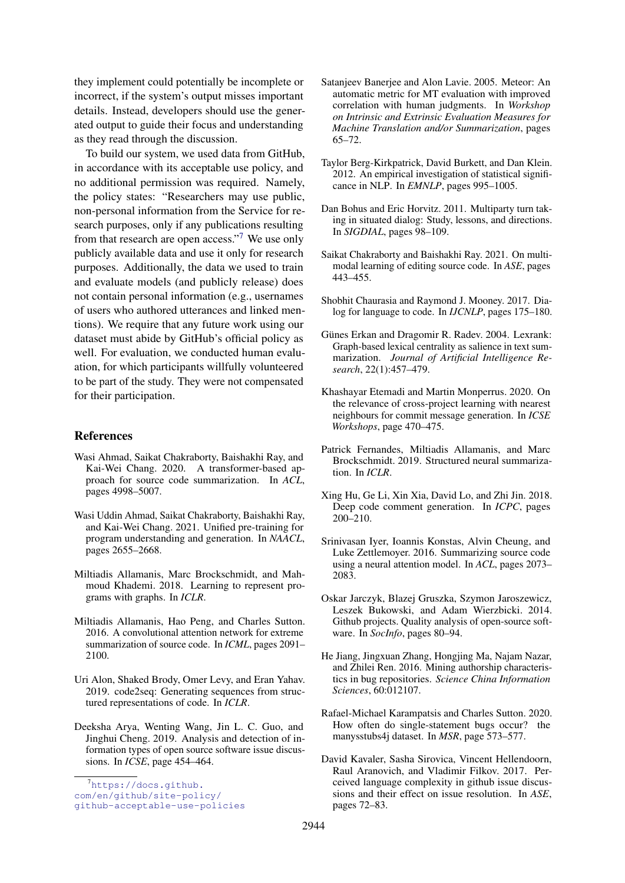they implement could potentially be incomplete or incorrect, if the system's output misses important details. Instead, developers should use the generated output to guide their focus and understanding as they read through the discussion.

To build our system, we used data from GitHub, in accordance with its acceptable use policy, and no additional permission was required. Namely, the policy states: "Researchers may use public, non-personal information from the Service for research purposes, only if any publications resulting from that research are open access."[7](#page-9-18) We use only publicly available data and use it only for research purposes. Additionally, the data we used to train and evaluate models (and publicly release) does not contain personal information (e.g., usernames of users who authored utterances and linked mentions). We require that any future work using our dataset must abide by GitHub's official policy as well. For evaluation, we conducted human evaluation, for which participants willfully volunteered to be part of the study. They were not compensated for their participation.

### References

- <span id="page-9-4"></span>Wasi Ahmad, Saikat Chakraborty, Baishakhi Ray, and Kai-Wei Chang. 2020. A transformer-based approach for source code summarization. In *ACL*, pages 4998–5007.
- <span id="page-9-2"></span>Wasi Uddin Ahmad, Saikat Chakraborty, Baishakhi Ray, and Kai-Wei Chang. 2021. Unified pre-training for program understanding and generation. In *NAACL*, pages 2655–2668.
- <span id="page-9-12"></span>Miltiadis Allamanis, Marc Brockschmidt, and Mahmoud Khademi. 2018. Learning to represent programs with graphs. In *ICLR*.
- <span id="page-9-7"></span>Miltiadis Allamanis, Hao Peng, and Charles Sutton. 2016. A convolutional attention network for extreme summarization of source code. In *ICML*, pages 2091– 2100.
- <span id="page-9-11"></span>Uri Alon, Shaked Brody, Omer Levy, and Eran Yahav. 2019. code2seq: Generating sequences from structured representations of code. In *ICLR*.
- <span id="page-9-1"></span>Deeksha Arya, Wenting Wang, Jin L. C. Guo, and Jinghui Cheng. 2019. Analysis and detection of information types of open source software issue discussions. In *ICSE*, page 454–464.
- <span id="page-9-13"></span>Satanjeev Banerjee and Alon Lavie. 2005. Meteor: An automatic metric for MT evaluation with improved correlation with human judgments. In *Workshop on Intrinsic and Extrinsic Evaluation Measures for Machine Translation and/or Summarization*, pages 65–72.
- <span id="page-9-14"></span>Taylor Berg-Kirkpatrick, David Burkett, and Dan Klein. 2012. An empirical investigation of statistical significance in NLP. In *EMNLP*, pages 995–1005.
- <span id="page-9-16"></span>Dan Bohus and Eric Horvitz. 2011. Multiparty turn taking in situated dialog: Study, lessons, and directions. In *SIGDIAL*, pages 98–109.
- <span id="page-9-6"></span>Saikat Chakraborty and Baishakhi Ray. 2021. On multimodal learning of editing source code. In *ASE*, pages 443–455.
- <span id="page-9-17"></span>Shobhit Chaurasia and Raymond J. Mooney. 2017. Dialog for language to code. In *IJCNLP*, pages 175–180.
- <span id="page-9-20"></span>Günes Erkan and Dragomir R. Radev. 2004. Lexrank: Graph-based lexical centrality as salience in text summarization. *Journal of Artificial Intelligence Research*, 22(1):457–479.
- <span id="page-9-10"></span>Khashayar Etemadi and Martin Monperrus. 2020. On the relevance of cross-project learning with nearest neighbours for commit message generation. In *ICSE Workshops*, page 470–475.
- <span id="page-9-9"></span>Patrick Fernandes, Miltiadis Allamanis, and Marc Brockschmidt. 2019. Structured neural summarization. In *ICLR*.
- <span id="page-9-8"></span>Xing Hu, Ge Li, Xin Xia, David Lo, and Zhi Jin. 2018. Deep code comment generation. In *ICPC*, pages 200–210.
- <span id="page-9-3"></span>Srinivasan Iyer, Ioannis Konstas, Alvin Cheung, and Luke Zettlemoyer. 2016. Summarizing source code using a neural attention model. In *ACL*, pages 2073– 2083.
- <span id="page-9-19"></span>Oskar Jarczyk, Blazej Gruszka, Szymon Jaroszewicz, Leszek Bukowski, and Adam Wierzbicki. 2014. Github projects. Quality analysis of open-source software. In *SocInfo*, pages 80–94.
- <span id="page-9-15"></span>He Jiang, Jingxuan Zhang, Hongjing Ma, Najam Nazar, and Zhilei Ren. 2016. Mining authorship characteristics in bug repositories. *Science China Information Sciences*, 60:012107.
- <span id="page-9-5"></span>Rafael-Michael Karampatsis and Charles Sutton. 2020. How often do single-statement bugs occur? the manysstubs4j dataset. In *MSR*, page 573–577.
- <span id="page-9-0"></span>David Kavaler, Sasha Sirovica, Vincent Hellendoorn, Raul Aranovich, and Vladimir Filkov. 2017. Perceived language complexity in github issue discussions and their effect on issue resolution. In *ASE*, pages 72–83.

<span id="page-9-18"></span><sup>7</sup>[https://docs.github.](https://docs.github.com/en/github/site-policy/github-acceptable-use-policies)

[com/en/github/site-policy/](https://docs.github.com/en/github/site-policy/github-acceptable-use-policies)

[github-acceptable-use-policies](https://docs.github.com/en/github/site-policy/github-acceptable-use-policies)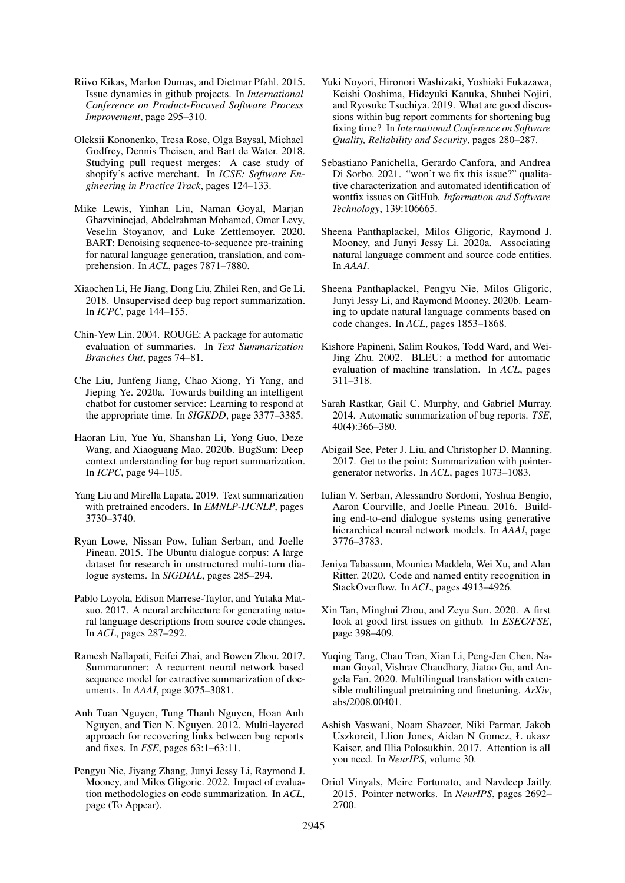- <span id="page-10-2"></span>Riivo Kikas, Marlon Dumas, and Dietmar Pfahl. 2015. Issue dynamics in github projects. In *International Conference on Product-Focused Software Process Improvement*, page 295–310.
- <span id="page-10-10"></span>Oleksii Kononenko, Tresa Rose, Olga Baysal, Michael Godfrey, Dennis Theisen, and Bart de Water. 2018. Studying pull request merges: A case study of shopify's active merchant. In *ICSE: Software Engineering in Practice Track*, pages 124–133.
- <span id="page-10-18"></span>Mike Lewis, Yinhan Liu, Naman Goyal, Marjan Ghazvininejad, Abdelrahman Mohamed, Omer Levy, Veselin Stoyanov, and Luke Zettlemoyer. 2020. BART: Denoising sequence-to-sequence pre-training for natural language generation, translation, and comprehension. In *ACL*, pages 7871–7880.
- <span id="page-10-4"></span>Xiaochen Li, He Jiang, Dong Liu, Zhilei Ren, and Ge Li. 2018. Unsupervised deep bug report summarization. In *ICPC*, page 144–155.
- <span id="page-10-20"></span>Chin-Yew Lin. 2004. ROUGE: A package for automatic evaluation of summaries. In *Text Summarization Branches Out*, pages 74–81.
- <span id="page-10-22"></span>Che Liu, Junfeng Jiang, Chao Xiong, Yi Yang, and Jieping Ye. 2020a. Towards building an intelligent chatbot for customer service: Learning to respond at the appropriate time. In *SIGKDD*, page 3377–3385.
- <span id="page-10-1"></span>Haoran Liu, Yue Yu, Shanshan Li, Yong Guo, Deze Wang, and Xiaoguang Mao. 2020b. BugSum: Deep context understanding for bug report summarization. In *ICPC*, page 94–105.
- <span id="page-10-24"></span>Yang Liu and Mirella Lapata. 2019. Text summarization with pretrained encoders. In *EMNLP-IJCNLP*, pages 3730–3740.
- <span id="page-10-23"></span>Ryan Lowe, Nissan Pow, Iulian Serban, and Joelle Pineau. 2015. The Ubuntu dialogue corpus: A large dataset for research in unstructured multi-turn dialogue systems. In *SIGDIAL*, pages 285–294.
- <span id="page-10-7"></span>Pablo Loyola, Edison Marrese-Taylor, and Yutaka Matsuo. 2017. A neural architecture for generating natural language descriptions from source code changes. In *ACL*, pages 287–292.
- <span id="page-10-12"></span>Ramesh Nallapati, Feifei Zhai, and Bowen Zhou. 2017. Summarunner: A recurrent neural network based sequence model for extractive summarization of documents. In *AAAI*, page 3075–3081.
- <span id="page-10-9"></span>Anh Tuan Nguyen, Tung Thanh Nguyen, Hoan Anh Nguyen, and Tien N. Nguyen. 2012. Multi-layered approach for recovering links between bug reports and fixes. In *FSE*, pages 63:1–63:11.
- <span id="page-10-14"></span>Pengyu Nie, Jiyang Zhang, Junyi Jessy Li, Raymond J. Mooney, and Milos Gligoric. 2022. Impact of evaluation methodologies on code summarization. In *ACL*, page (To Appear).
- <span id="page-10-0"></span>Yuki Noyori, Hironori Washizaki, Yoshiaki Fukazawa, Keishi Ooshima, Hideyuki Kanuka, Shuhei Nojiri, and Ryosuke Tsuchiya. 2019. What are good discussions within bug report comments for shortening bug fixing time? In *International Conference on Software Quality, Reliability and Security*, pages 280–287.
- <span id="page-10-8"></span>Sebastiano Panichella, Gerardo Canfora, and Andrea Di Sorbo. 2021. "won't we fix this issue?" qualitative characterization and automated identification of wontfix issues on GitHub. *Information and Software Technology*, 139:106665.
- <span id="page-10-11"></span>Sheena Panthaplackel, Milos Gligoric, Raymond J. Mooney, and Junyi Jessy Li. 2020a. Associating natural language comment and source code entities. In *AAAI*.
- <span id="page-10-6"></span>Sheena Panthaplackel, Pengyu Nie, Milos Gligoric, Junyi Jessy Li, and Raymond Mooney. 2020b. Learning to update natural language comments based on code changes. In *ACL*, pages 1853–1868.
- <span id="page-10-19"></span>Kishore Papineni, Salim Roukos, Todd Ward, and Wei-Jing Zhu. 2002. BLEU: a method for automatic evaluation of machine translation. In *ACL*, pages 311–318.
- <span id="page-10-21"></span>Sarah Rastkar, Gail C. Murphy, and Gabriel Murray. 2014. Automatic summarization of bug reports. *TSE*, 40(4):366–380.
- <span id="page-10-15"></span>Abigail See, Peter J. Liu, and Christopher D. Manning. 2017. Get to the point: Summarization with pointergenerator networks. In *ACL*, pages 1073–1083.
- <span id="page-10-17"></span>Iulian V. Serban, Alessandro Sordoni, Yoshua Bengio, Aaron Courville, and Joelle Pineau. 2016. Building end-to-end dialogue systems using generative hierarchical neural network models. In *AAAI*, page 3776–3783.
- <span id="page-10-13"></span>Jeniya Tabassum, Mounica Maddela, Wei Xu, and Alan Ritter. 2020. Code and named entity recognition in StackOverflow. In *ACL*, pages 4913–4926.
- <span id="page-10-3"></span>Xin Tan, Minghui Zhou, and Zeyu Sun. 2020. A first look at good first issues on github. In *ESEC/FSE*, page 398–409.
- <span id="page-10-25"></span>Yuqing Tang, Chau Tran, Xian Li, Peng-Jen Chen, Naman Goyal, Vishrav Chaudhary, Jiatao Gu, and Angela Fan. 2020. Multilingual translation with extensible multilingual pretraining and finetuning. *ArXiv*, abs/2008.00401.
- <span id="page-10-5"></span>Ashish Vaswani, Noam Shazeer, Niki Parmar, Jakob Uszkoreit, Llion Jones, Aidan N Gomez, Ł ukasz Kaiser, and Illia Polosukhin. 2017. Attention is all you need. In *NeurIPS*, volume 30.
- <span id="page-10-16"></span>Oriol Vinyals, Meire Fortunato, and Navdeep Jaitly. 2015. Pointer networks. In *NeurIPS*, pages 2692– 2700.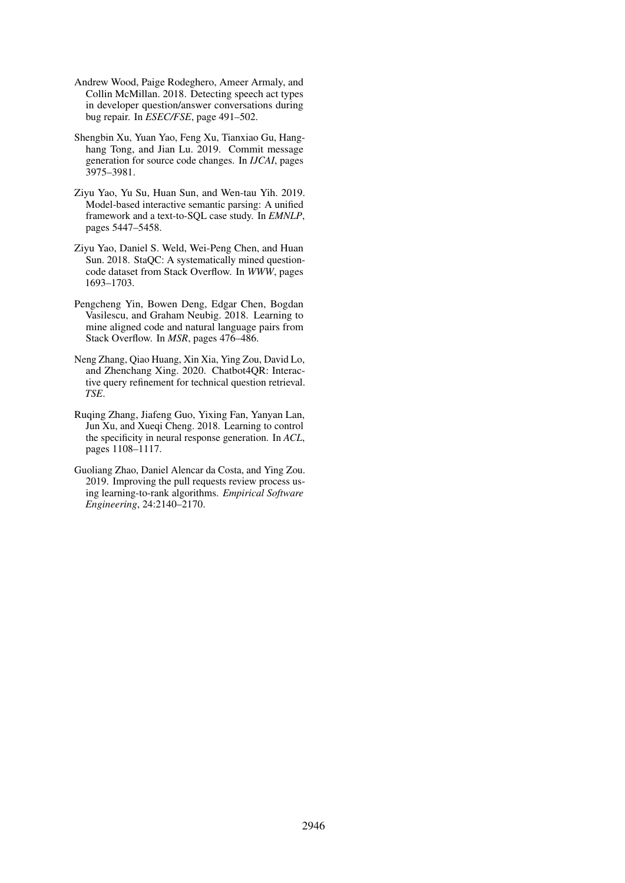- <span id="page-11-7"></span>Andrew Wood, Paige Rodeghero, Ameer Armaly, and Collin McMillan. 2018. Detecting speech act types in developer question/answer conversations during bug repair. In *ESEC/FSE*, page 491–502.
- <span id="page-11-0"></span>Shengbin Xu, Yuan Yao, Feng Xu, Tianxiao Gu, Hanghang Tong, and Jian Lu. 2019. Commit message generation for source code changes. In *IJCAI*, pages 3975–3981.
- <span id="page-11-6"></span>Ziyu Yao, Yu Su, Huan Sun, and Wen-tau Yih. 2019. Model-based interactive semantic parsing: A unified framework and a text-to-SQL case study. In *EMNLP*, pages 5447–5458.
- <span id="page-11-2"></span>Ziyu Yao, Daniel S. Weld, Wei-Peng Chen, and Huan Sun. 2018. StaQC: A systematically mined questioncode dataset from Stack Overflow. In *WWW*, pages 1693–1703.
- <span id="page-11-3"></span>Pengcheng Yin, Bowen Deng, Edgar Chen, Bogdan Vasilescu, and Graham Neubig. 2018. Learning to mine aligned code and natural language pairs from Stack Overflow. In *MSR*, pages 476–486.
- <span id="page-11-5"></span>Neng Zhang, Qiao Huang, Xin Xia, Ying Zou, David Lo, and Zhenchang Xing. 2020. Chatbot4QR: Interactive query refinement for technical question retrieval. *TSE*.
- <span id="page-11-4"></span>Ruqing Zhang, Jiafeng Guo, Yixing Fan, Yanyan Lan, Jun Xu, and Xueqi Cheng. 2018. Learning to control the specificity in neural response generation. In *ACL*, pages 1108–1117.
- <span id="page-11-1"></span>Guoliang Zhao, Daniel Alencar da Costa, and Ying Zou. 2019. Improving the pull requests review process using learning-to-rank algorithms. *Empirical Software Engineering*, 24:2140–2170.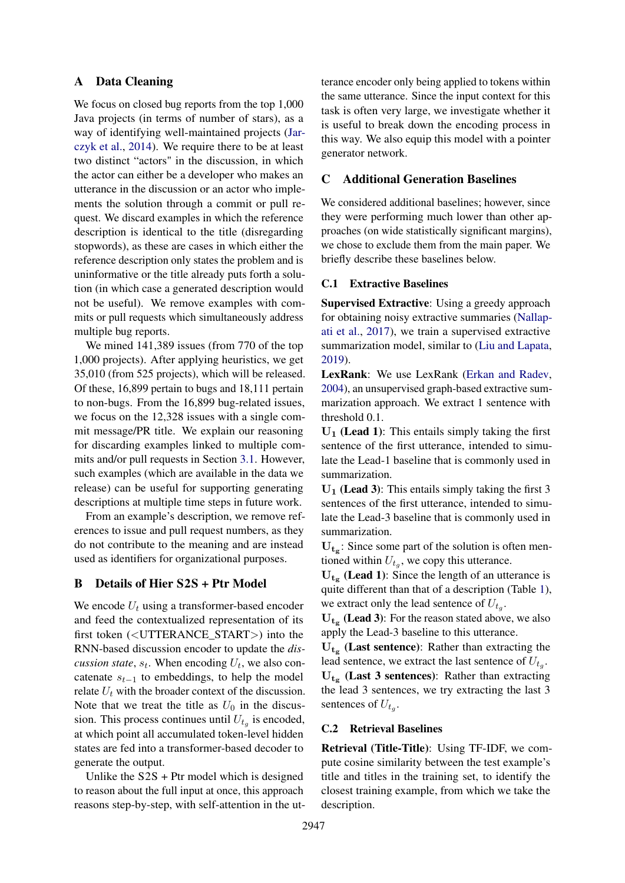## <span id="page-12-0"></span>A Data Cleaning

We focus on closed bug reports from the top 1,000 Java projects (in terms of number of stars), as a way of identifying well-maintained projects [\(Jar](#page-9-19)[czyk et al.,](#page-9-19) [2014\)](#page-9-19). We require there to be at least two distinct "actors" in the discussion, in which the actor can either be a developer who makes an utterance in the discussion or an actor who implements the solution through a commit or pull request. We discard examples in which the reference description is identical to the title (disregarding stopwords), as these are cases in which either the reference description only states the problem and is uninformative or the title already puts forth a solution (in which case a generated description would not be useful). We remove examples with commits or pull requests which simultaneously address multiple bug reports.

We mined 141,389 issues (from 770 of the top 1,000 projects). After applying heuristics, we get 35,010 (from 525 projects), which will be released. Of these, 16,899 pertain to bugs and 18,111 pertain to non-bugs. From the 16,899 bug-related issues, we focus on the 12,328 issues with a single commit message/PR title. We explain our reasoning for discarding examples linked to multiple commits and/or pull requests in Section [3.1.](#page-1-1) However, such examples (which are available in the data we release) can be useful for supporting generating descriptions at multiple time steps in future work.

From an example's description, we remove references to issue and pull request numbers, as they do not contribute to the meaning and are instead used as identifiers for organizational purposes.

## <span id="page-12-1"></span>B Details of Hier S2S + Ptr Model

We encode  $U_t$  using a transformer-based encoder and feed the contextualized representation of its first token (<UTTERANCE\_START>) into the RNN-based discussion encoder to update the *discussion state*,  $s_t$ . When encoding  $U_t$ , we also concatenate  $s_{t-1}$  to embeddings, to help the model relate  $U_t$  with the broader context of the discussion. Note that we treat the title as  $U_0$  in the discussion. This process continues until  $U_{t_g}$  is encoded, at which point all accumulated token-level hidden states are fed into a transformer-based decoder to generate the output.

Unlike the  $S2S + P$ tr model which is designed to reason about the full input at once, this approach reasons step-by-step, with self-attention in the utterance encoder only being applied to tokens within the same utterance. Since the input context for this task is often very large, we investigate whether it is useful to break down the encoding process in this way. We also equip this model with a pointer generator network.

## <span id="page-12-2"></span>C Additional Generation Baselines

We considered additional baselines; however, since they were performing much lower than other approaches (on wide statistically significant margins), we chose to exclude them from the main paper. We briefly describe these baselines below.

#### C.1 Extractive Baselines

Supervised Extractive: Using a greedy approach for obtaining noisy extractive summaries [\(Nallap](#page-10-12)[ati et al.,](#page-10-12) [2017\)](#page-10-12), we train a supervised extractive summarization model, similar to [\(Liu and Lapata,](#page-10-24) [2019\)](#page-10-24).

LexRank: We use LexRank [\(Erkan and Radev,](#page-9-20) [2004\)](#page-9-20), an unsupervised graph-based extractive summarization approach. We extract 1 sentence with threshold 0.1.

 $U_1$  (Lead 1): This entails simply taking the first sentence of the first utterance, intended to simulate the Lead-1 baseline that is commonly used in summarization.

 $U_1$  (Lead 3): This entails simply taking the first 3 sentences of the first utterance, intended to simulate the Lead-3 baseline that is commonly used in summarization.

 $U_{t<sub>g</sub>$ : Since some part of the solution is often mentioned within  $U_{t_g}$ , we copy this utterance.

 $U_{t<sub>g</sub>}$  (Lead 1): Since the length of an utterance is quite different than that of a description (Table [1\)](#page-2-2), we extract only the lead sentence of  $U_{t_g}$ .

 $U_{t<sub>g</sub>}$  (Lead 3): For the reason stated above, we also apply the Lead-3 baseline to this utterance.

 $U_{t<sub>g</sub>}$  (Last sentence): Rather than extracting the lead sentence, we extract the last sentence of  $U_{t_g}$ .  $U_{tg}$  (Last 3 sentences): Rather than extracting the lead 3 sentences, we try extracting the last 3

#### C.2 Retrieval Baselines

sentences of  $U_{t_g}$ .

Retrieval (Title-Title): Using TF-IDF, we compute cosine similarity between the test example's title and titles in the training set, to identify the closest training example, from which we take the description.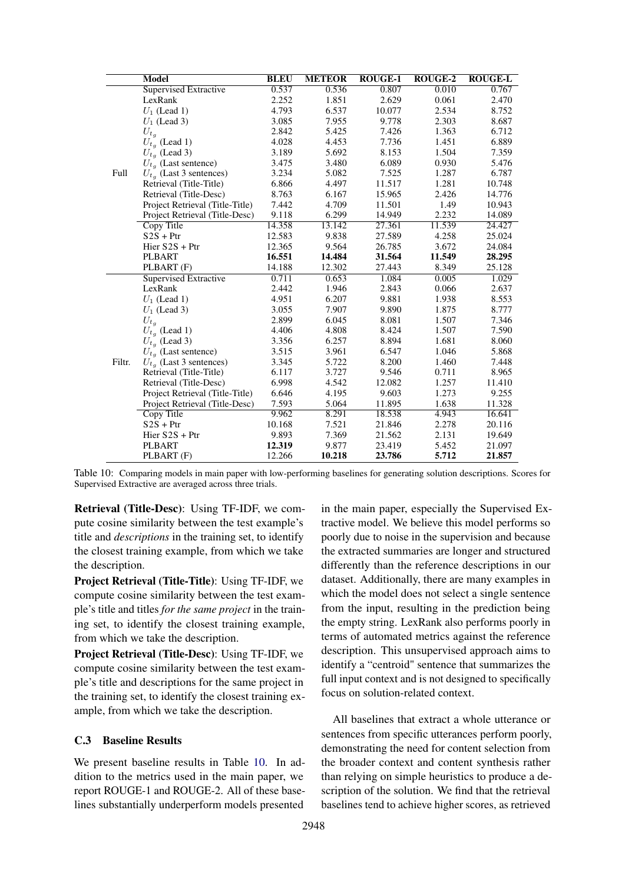<span id="page-13-0"></span>

|        | Model                           | <b>BLEU</b> | <b>METEOR</b> | <b>ROUGE-1</b> | <b>ROUGE-2</b> | <b>ROUGE-L</b> |
|--------|---------------------------------|-------------|---------------|----------------|----------------|----------------|
|        | Supervised Extractive           | 0.537       | 0.536         | 0.807          | 0.010          | 0.767          |
|        | LexRank                         | 2.252       | 1.851         | 2.629          | 0.061          | 2.470          |
|        | $U_1$ (Lead 1)                  | 4.793       | 6.537         | 10.077         | 2.534          | 8.752          |
|        | $U_1$ (Lead 3)                  | 3.085       | 7.955         | 9.778          | 2.303          | 8.687          |
|        | $U_{t_q}$                       | 2.842       | 5.425         | 7.426          | 1.363          | 6.712          |
|        | $U_{t_q}$ (Lead 1)              | 4.028       | 4.453         | 7.736          | 1.451          | 6.889          |
|        | $U_{t_q}$ (Lead 3)              | 3.189       | 5.692         | 8.153          | 1.504          | 7.359          |
|        | $U_{t_q}$ (Last sentence)       | 3.475       | 3.480         | 6.089          | 0.930          | 5.476          |
| Full   | $U_{t_q}$ (Last 3 sentences)    | 3.234       | 5.082         | 7.525          | 1.287          | 6.787          |
|        | Retrieval (Title-Title)         | 6.866       | 4.497         | 11.517         | 1.281          | 10.748         |
|        | Retrieval (Title-Desc)          | 8.763       | 6.167         | 15.965         | 2.426          | 14.776         |
|        | Project Retrieval (Title-Title) | 7.442       | 4.709         | 11.501         | 1.49           | 10.943         |
|        | Project Retrieval (Title-Desc)  | 9.118       | 6.299         | 14.949         | 2.232          | 14.089         |
|        | Copy Title                      | 14.358      | 13.142        | 27.361         | 11.539         | 24.427         |
|        | $S2S + Ptr$                     | 12.583      | 9.838         | 27.589         | 4.258          | 25.024         |
|        | Hier $S2S + Ptr$                | 12.365      | 9.564         | 26.785         | 3.672          | 24.084         |
|        | PLBART                          | 16.551      | 14.484        | 31.564         | 11.549         | 28.295         |
|        | PLBART (F)                      | 14.188      | 12.302        | 27.443         | 8.349          | 25.128         |
|        | Supervised Extractive           | 0.711       | 0.653         | 1.084          | 0.005          | 1.029          |
|        | LexRank                         | 2.442       | 1.946         | 2.843          | 0.066          | 2.637          |
|        | $U_1$ (Lead 1)                  | 4.951       | 6.207         | 9.881          | 1.938          | 8.553          |
|        | $U_1$ (Lead 3)                  | 3.055       | 7.907         | 9.890          | 1.875          | 8.777          |
|        | $U_{t_q}$                       | 2.899       | 6.045         | 8.081          | 1.507          | 7.346          |
|        | $U_{t_q}$ (Lead 1)              | 4.406       | 4.808         | 8.424          | 1.507          | 7.590          |
|        | $U_{t_a}$ (Lead 3)              | 3.356       | 6.257         | 8.894          | 1.681          | 8.060          |
|        | $U_{t_q}$ (Last sentence)       | 3.515       | 3.961         | 6.547          | 1.046          | 5.868          |
| Filtr. | $U_{t_a}$ (Last 3 sentences)    | 3.345       | 5.722         | 8.200          | 1.460          | 7.448          |
|        | Retrieval (Title-Title)         | 6.117       | 3.727         | 9.546          | 0.711          | 8.965          |
|        | Retrieval (Title-Desc)          | 6.998       | 4.542         | 12.082         | 1.257          | 11.410         |
|        | Project Retrieval (Title-Title) | 6.646       | 4.195         | 9.603          | 1.273          | 9.255          |
|        | Project Retrieval (Title-Desc)  | 7.593       | 5.064         | 11.895         | 1.638          | 11.328         |
|        | Copy Title                      | 9.962       | 8.291         | 18.538         | 4.943          | 16.641         |
|        | $S2S + Ptr$                     | 10.168      | 7.521         | 21.846         | 2.278          | 20.116         |
|        | Hier $S2S + Ptr$                | 9.893       | 7.369         | 21.562         | 2.131          | 19.649         |
|        | PLBART                          | 12.319      | 9.877         | 23.419         | 5.452          | 21.097         |
|        | PLBART (F)                      | 12.266      | 10.218        | 23.786         | 5.712          | 21.857         |

Table 10: Comparing models in main paper with low-performing baselines for generating solution descriptions. Scores for Supervised Extractive are averaged across three trials.

Retrieval (Title-Desc): Using TF-IDF, we compute cosine similarity between the test example's title and *descriptions* in the training set, to identify the closest training example, from which we take the description.

Project Retrieval (Title-Title): Using TF-IDF, we compute cosine similarity between the test example's title and titles *for the same project* in the training set, to identify the closest training example, from which we take the description.

Project Retrieval (Title-Desc): Using TF-IDF, we compute cosine similarity between the test example's title and descriptions for the same project in the training set, to identify the closest training example, from which we take the description.

## C.3 Baseline Results

We present baseline results in Table [10.](#page-13-0) In addition to the metrics used in the main paper, we report ROUGE-1 and ROUGE-2. All of these baselines substantially underperform models presented

in the main paper, especially the Supervised Extractive model. We believe this model performs so poorly due to noise in the supervision and because the extracted summaries are longer and structured differently than the reference descriptions in our dataset. Additionally, there are many examples in which the model does not select a single sentence from the input, resulting in the prediction being the empty string. LexRank also performs poorly in terms of automated metrics against the reference description. This unsupervised approach aims to identify a "centroid" sentence that summarizes the full input context and is not designed to specifically focus on solution-related context.

All baselines that extract a whole utterance or sentences from specific utterances perform poorly, demonstrating the need for content selection from the broader context and content synthesis rather than relying on simple heuristics to produce a description of the solution. We find that the retrieval baselines tend to achieve higher scores, as retrieved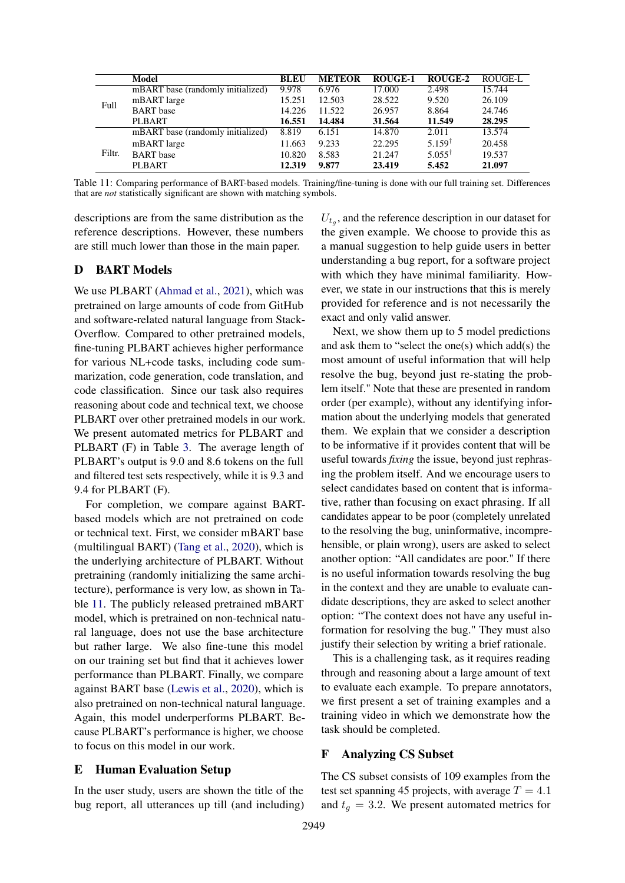<span id="page-14-1"></span>

|        | Model                             | <b>BLEU</b> | <b>METEOR</b> | <b>ROUGE-1</b> | ROUGE-2              | ROUGE-L |
|--------|-----------------------------------|-------------|---------------|----------------|----------------------|---------|
|        | mBART base (randomly initialized) | 9.978       | 6.976         | 17.000         | 2.498                | 15.744  |
| Full   | mBART large                       | 15.251      | 12.503        | 28.522         | 9.520                | 26.109  |
|        | <b>BART</b> base                  | 14.226      | 11.522        | 26.957         | 8.864                | 24.746  |
|        | <b>PLBART</b>                     | 16.551      | 14.484        | 31.564         | 11.549               | 28.295  |
|        | mBART base (randomly initialized) | 8.819       | 6.151         | 14.870         | 2.011                | 13.574  |
|        | mBART large                       | 11.663      | 9.233         | 22.295         | $5.159$ <sup>t</sup> | 20.458  |
| Filtr. | <b>BART</b> base                  | 10.820      | 8.583         | 21.247         | $5.055^{\dagger}$    | 19.537  |
|        | <b>PLBART</b>                     | 12.319      | 9.877         | 23.419         | 5.452                | 21.097  |

Table 11: Comparing performance of BART-based models. Training/fine-tuning is done with our full training set. Differences that are *not* statistically significant are shown with matching symbols.

descriptions are from the same distribution as the reference descriptions. However, these numbers are still much lower than those in the main paper.

## <span id="page-14-0"></span>D BART Models

We use PLBART [\(Ahmad et al.,](#page-9-2) [2021\)](#page-9-2), which was pretrained on large amounts of code from GitHub and software-related natural language from Stack-Overflow. Compared to other pretrained models, fine-tuning PLBART achieves higher performance for various NL+code tasks, including code summarization, code generation, code translation, and code classification. Since our task also requires reasoning about code and technical text, we choose PLBART over other pretrained models in our work. We present automated metrics for PLBART and PLBART (F) in Table [3.](#page-4-2) The average length of PLBART's output is 9.0 and 8.6 tokens on the full and filtered test sets respectively, while it is 9.3 and 9.4 for PLBART (F).

For completion, we compare against BARTbased models which are not pretrained on code or technical text. First, we consider mBART base (multilingual BART) [\(Tang et al.,](#page-10-25) [2020\)](#page-10-25), which is the underlying architecture of PLBART. Without pretraining (randomly initializing the same architecture), performance is very low, as shown in Table [11.](#page-14-1) The publicly released pretrained mBART model, which is pretrained on non-technical natural language, does not use the base architecture but rather large. We also fine-tune this model on our training set but find that it achieves lower performance than PLBART. Finally, we compare against BART base [\(Lewis et al.,](#page-10-18) [2020\)](#page-10-18), which is also pretrained on non-technical natural language. Again, this model underperforms PLBART. Because PLBART's performance is higher, we choose to focus on this model in our work.

#### E Human Evaluation Setup

In the user study, users are shown the title of the bug report, all utterances up till (and including)

 $U_{t_g}$ , and the reference description in our dataset for the given example. We choose to provide this as a manual suggestion to help guide users in better understanding a bug report, for a software project with which they have minimal familiarity. However, we state in our instructions that this is merely provided for reference and is not necessarily the exact and only valid answer.

Next, we show them up to 5 model predictions and ask them to "select the one(s) which add(s) the most amount of useful information that will help resolve the bug, beyond just re-stating the problem itself." Note that these are presented in random order (per example), without any identifying information about the underlying models that generated them. We explain that we consider a description to be informative if it provides content that will be useful towards *fixing* the issue, beyond just rephrasing the problem itself. And we encourage users to select candidates based on content that is informative, rather than focusing on exact phrasing. If all candidates appear to be poor (completely unrelated to the resolving the bug, uninformative, incomprehensible, or plain wrong), users are asked to select another option: "All candidates are poor." If there is no useful information towards resolving the bug in the context and they are unable to evaluate candidate descriptions, they are asked to select another option: "The context does not have any useful information for resolving the bug." They must also justify their selection by writing a brief rationale.

This is a challenging task, as it requires reading through and reasoning about a large amount of text to evaluate each example. To prepare annotators, we first present a set of training examples and a training video in which we demonstrate how the task should be completed.

### F Analyzing CS Subset

The CS subset consists of 109 examples from the test set spanning 45 projects, with average  $T = 4.1$ and  $t_q = 3.2$ . We present automated metrics for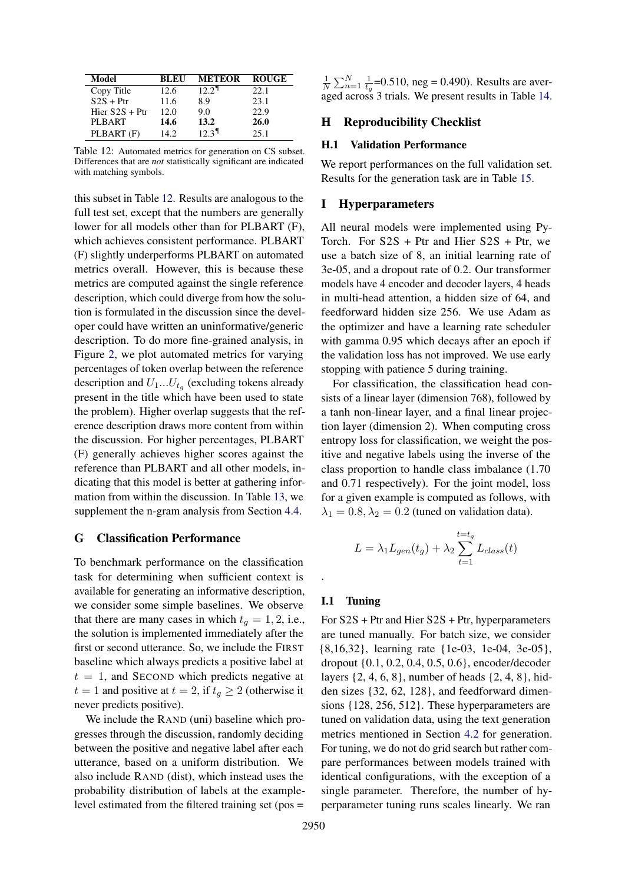<span id="page-15-0"></span>

| Model            | BLEU  | <b>METEOR</b>       | <b>ROUGE</b> |
|------------------|-------|---------------------|--------------|
| Copy Title       | 12.6  | 12.2 <sup>1</sup>   | 22.1         |
| $S2S + Ptr$      | 11.6  | 8.9                 | 23.1         |
| Hier $S2S + Ptr$ | 12.0  | 9.0                 | 22.9         |
| <b>PLBART</b>    | 14.6  | 13.2                | 26.0         |
| PLBART (F)       | 14.2. | $12.3$ <sup>T</sup> | 25.1         |

Table 12: Automated metrics for generation on CS subset. Differences that are *not* statistically significant are indicated with matching symbols.

this subset in Table [12.](#page-15-0) Results are analogous to the full test set, except that the numbers are generally lower for all models other than for PLBART (F), which achieves consistent performance. PLBART (F) slightly underperforms PLBART on automated metrics overall. However, this is because these metrics are computed against the single reference description, which could diverge from how the solution is formulated in the discussion since the developer could have written an uninformative/generic description. To do more fine-grained analysis, in Figure [2,](#page-16-0) we plot automated metrics for varying percentages of token overlap between the reference description and  $U_1...U_{t_g}$  (excluding tokens already present in the title which have been used to state the problem). Higher overlap suggests that the reference description draws more content from within the discussion. For higher percentages, PLBART (F) generally achieves higher scores against the reference than PLBART and all other models, indicating that this model is better at gathering information from within the discussion. In Table [13,](#page-17-0) we supplement the n-gram analysis from Section [4.4.](#page-5-3)

### G Classification Performance

To benchmark performance on the classification task for determining when sufficient context is available for generating an informative description, we consider some simple baselines. We observe that there are many cases in which  $t<sub>q</sub> = 1, 2$ , i.e., the solution is implemented immediately after the first or second utterance. So, we include the FIRST baseline which always predicts a positive label at  $t = 1$ , and SECOND which predicts negative at  $t = 1$  and positive at  $t = 2$ , if  $t_g \geq 2$  (otherwise it never predicts positive).

We include the RAND (uni) baseline which progresses through the discussion, randomly deciding between the positive and negative label after each utterance, based on a uniform distribution. We also include RAND (dist), which instead uses the probability distribution of labels at the examplelevel estimated from the filtered training set (pos =

1  $\frac{1}{N} \sum_{n=1}^{N} \frac{1}{t_c}$  $\frac{1}{t_g}$ =0.510, neg = 0.490). Results are averaged across 3 trials. We present results in Table [14.](#page-17-1)

## H Reproducibility Checklist

### H.1 Validation Performance

We report performances on the full validation set. Results for the generation task are in Table [15.](#page-17-2)

### I Hyperparameters

All neural models were implemented using Py-Torch. For S2S + Ptr and Hier S2S + Ptr, we use a batch size of 8, an initial learning rate of 3e-05, and a dropout rate of 0.2. Our transformer models have 4 encoder and decoder layers, 4 heads in multi-head attention, a hidden size of 64, and feedforward hidden size 256. We use Adam as the optimizer and have a learning rate scheduler with gamma 0.95 which decays after an epoch if the validation loss has not improved. We use early stopping with patience 5 during training.

For classification, the classification head consists of a linear layer (dimension 768), followed by a tanh non-linear layer, and a final linear projection layer (dimension 2). When computing cross entropy loss for classification, we weight the positive and negative labels using the inverse of the class proportion to handle class imbalance (1.70 and 0.71 respectively). For the joint model, loss for a given example is computed as follows, with  $\lambda_1 = 0.8, \lambda_2 = 0.2$  (tuned on validation data).

$$
L = \lambda_1 L_{gen}(t_g) + \lambda_2 \sum_{t=1}^{t=t_g} L_{class}(t)
$$

### I.1 Tuning

.

For S2S + Ptr and Hier S2S + Ptr, hyperparameters are tuned manually. For batch size, we consider {8,16,32}, learning rate {1e-03, 1e-04, 3e-05}, dropout {0.1, 0.2, 0.4, 0.5, 0.6}, encoder/decoder layers {2, 4, 6, 8}, number of heads {2, 4, 8}, hidden sizes {32, 62, 128}, and feedforward dimensions {128, 256, 512}. These hyperparameters are tuned on validation data, using the text generation metrics mentioned in Section [4.2](#page-4-4) for generation. For tuning, we do not do grid search but rather compare performances between models trained with identical configurations, with the exception of a single parameter. Therefore, the number of hyperparameter tuning runs scales linearly. We ran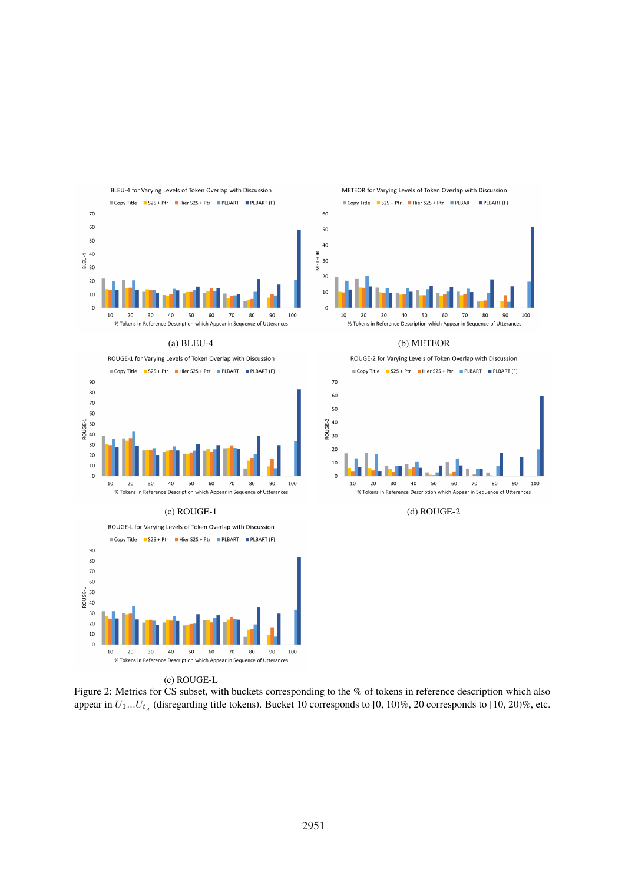<span id="page-16-0"></span>





METEOR for Varying Levels of Token Overlap with Discussion Copy Title S2S + Ptr Hier S2S + Ptr PLBART PLBART (F)



(a) BLEU-4 (b) METEOR

ROUGE-2 for Varying Levels of Token Overlap with Discussion



(c) ROUGE-1 (d) ROUGE-2

(e) ROUGE-L

Figure 2: Metrics for CS subset, with buckets corresponding to the % of tokens in reference description which also appear in  $U_1...U_{t_g}$  (disregarding title tokens). Bucket 10 corresponds to [0, 10)%, 20 corresponds to [10, 20)%, etc.